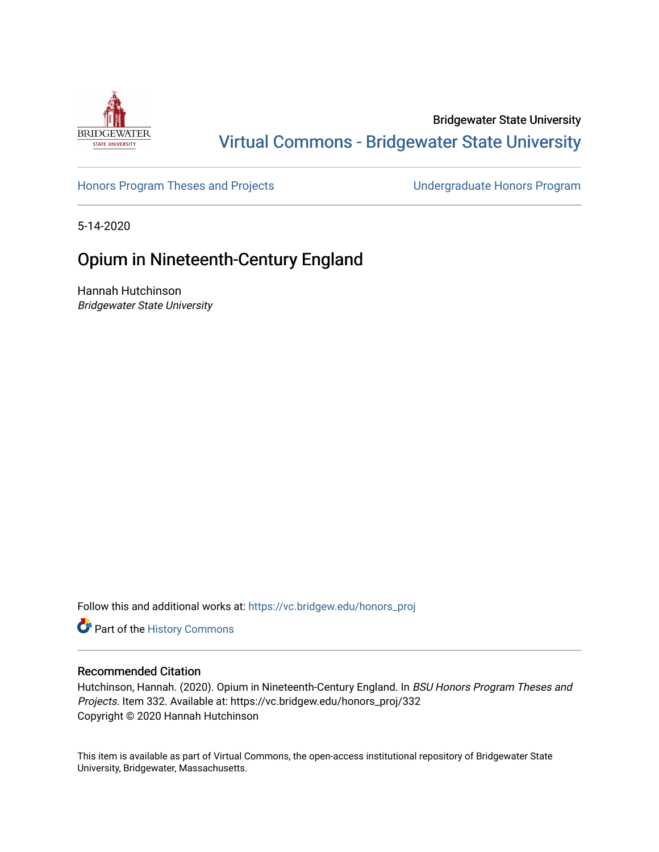

## Bridgewater State University [Virtual Commons - Bridgewater State University](https://vc.bridgew.edu/)

[Honors Program Theses and Projects](https://vc.bridgew.edu/honors_proj) [Undergraduate Honors Program](https://vc.bridgew.edu/honors) 

5-14-2020

# Opium in Nineteenth-Century England

Hannah Hutchinson Bridgewater State University

Follow this and additional works at: [https://vc.bridgew.edu/honors\\_proj](https://vc.bridgew.edu/honors_proj?utm_source=vc.bridgew.edu%2Fhonors_proj%2F332&utm_medium=PDF&utm_campaign=PDFCoverPages)

Part of the [History Commons](http://network.bepress.com/hgg/discipline/489?utm_source=vc.bridgew.edu%2Fhonors_proj%2F332&utm_medium=PDF&utm_campaign=PDFCoverPages) 

## Recommended Citation

Hutchinson, Hannah. (2020). Opium in Nineteenth-Century England. In BSU Honors Program Theses and Projects. Item 332. Available at: https://vc.bridgew.edu/honors\_proj/332 Copyright © 2020 Hannah Hutchinson

This item is available as part of Virtual Commons, the open-access institutional repository of Bridgewater State University, Bridgewater, Massachusetts.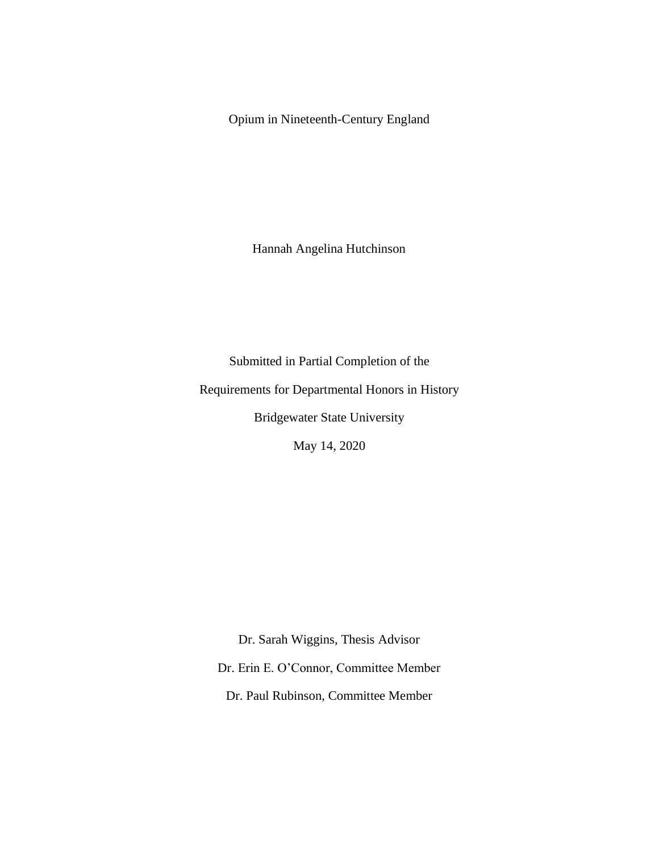Opium in Nineteenth-Century England

Hannah Angelina Hutchinson

Submitted in Partial Completion of the Requirements for Departmental Honors in History Bridgewater State University

May 14, 2020

Dr. Sarah Wiggins, Thesis Advisor

Dr. Erin E. O'Connor, Committee Member

Dr. Paul Rubinson, Committee Member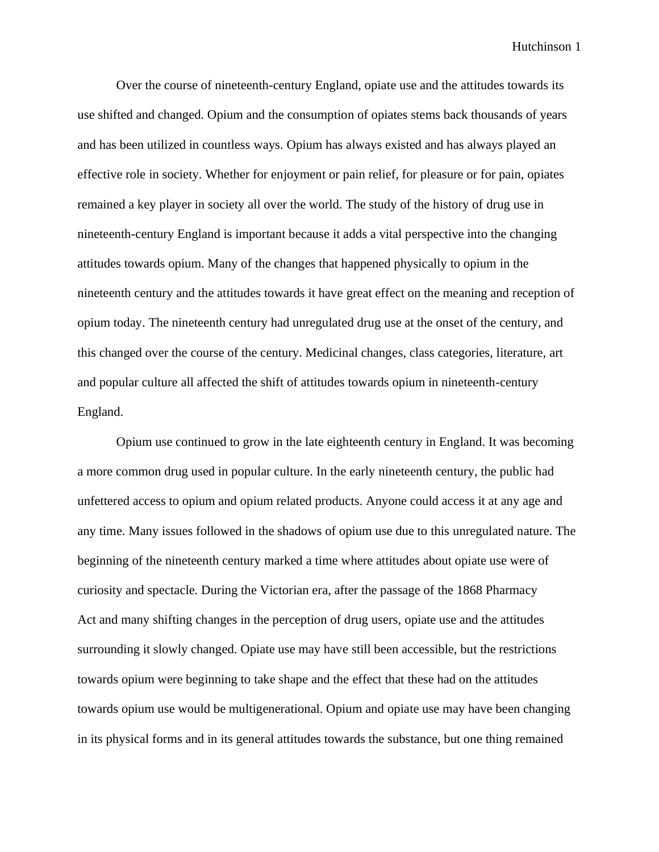Over the course of nineteenth-century England, opiate use and the attitudes towards its use shifted and changed. Opium and the consumption of opiates stems back thousands of years and has been utilized in countless ways. Opium has always existed and has always played an effective role in society. Whether for enjoyment or pain relief, for pleasure or for pain, opiates remained a key player in society all over the world. The study of the history of drug use in nineteenth-century England is important because it adds a vital perspective into the changing attitudes towards opium. Many of the changes that happened physically to opium in the nineteenth century and the attitudes towards it have great effect on the meaning and reception of opium today. The nineteenth century had unregulated drug use at the onset of the century, and this changed over the course of the century. Medicinal changes, class categories, literature, art and popular culture all affected the shift of attitudes towards opium in nineteenth-century England.

Opium use continued to grow in the late eighteenth century in England. It was becoming a more common drug used in popular culture. In the early nineteenth century, the public had unfettered access to opium and opium related products. Anyone could access it at any age and any time. Many issues followed in the shadows of opium use due to this unregulated nature. The beginning of the nineteenth century marked a time where attitudes about opiate use were of curiosity and spectacle. During the Victorian era, after the passage of the 1868 Pharmacy Act and many shifting changes in the perception of drug users, opiate use and the attitudes surrounding it slowly changed. Opiate use may have still been accessible, but the restrictions towards opium were beginning to take shape and the effect that these had on the attitudes towards opium use would be multigenerational. Opium and opiate use may have been changing in its physical forms and in its general attitudes towards the substance, but one thing remained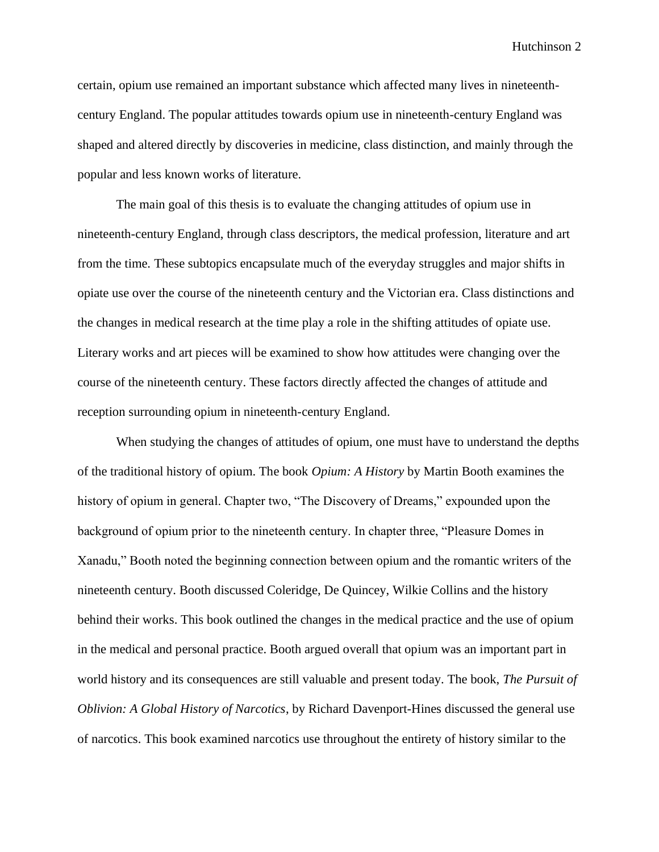certain, opium use remained an important substance which affected many lives in nineteenthcentury England. The popular attitudes towards opium use in nineteenth-century England was shaped and altered directly by discoveries in medicine, class distinction, and mainly through the popular and less known works of literature.

The main goal of this thesis is to evaluate the changing attitudes of opium use in nineteenth-century England, through class descriptors, the medical profession, literature and art from the time. These subtopics encapsulate much of the everyday struggles and major shifts in opiate use over the course of the nineteenth century and the Victorian era. Class distinctions and the changes in medical research at the time play a role in the shifting attitudes of opiate use. Literary works and art pieces will be examined to show how attitudes were changing over the course of the nineteenth century. These factors directly affected the changes of attitude and reception surrounding opium in nineteenth-century England.

When studying the changes of attitudes of opium, one must have to understand the depths of the traditional history of opium. The book *Opium: A History* by Martin Booth examines the history of opium in general. Chapter two, "The Discovery of Dreams," expounded upon the background of opium prior to the nineteenth century. In chapter three, "Pleasure Domes in Xanadu," Booth noted the beginning connection between opium and the romantic writers of the nineteenth century. Booth discussed Coleridge, De Quincey, Wilkie Collins and the history behind their works. This book outlined the changes in the medical practice and the use of opium in the medical and personal practice. Booth argued overall that opium was an important part in world history and its consequences are still valuable and present today. The book, *The Pursuit of Oblivion: A Global History of Narcotics*, by Richard Davenport-Hines discussed the general use of narcotics. This book examined narcotics use throughout the entirety of history similar to the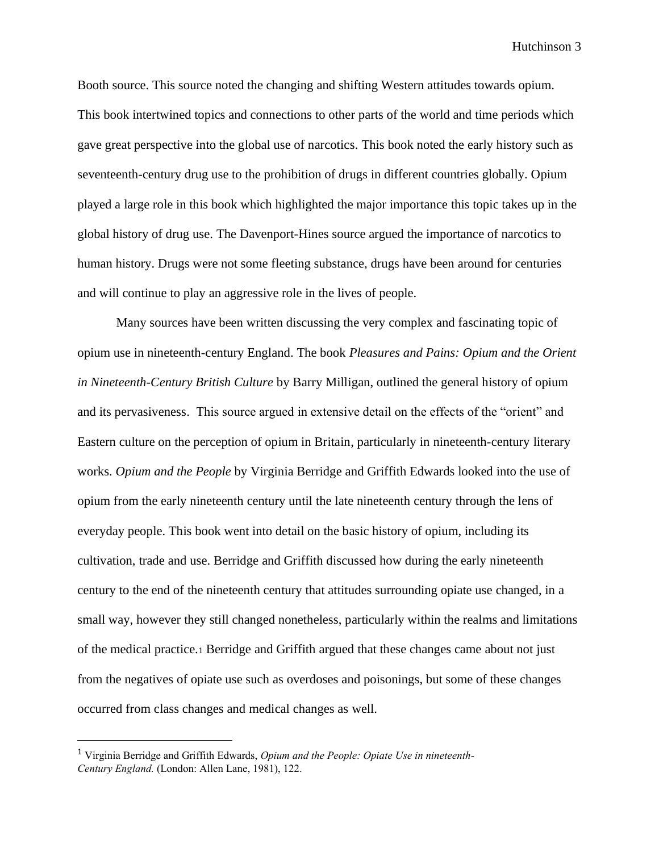Booth source. This source noted the changing and shifting Western attitudes towards opium. This book intertwined topics and connections to other parts of the world and time periods which gave great perspective into the global use of narcotics. This book noted the early history such as seventeenth-century drug use to the prohibition of drugs in different countries globally. Opium played a large role in this book which highlighted the major importance this topic takes up in the global history of drug use. The Davenport-Hines source argued the importance of narcotics to human history. Drugs were not some fleeting substance, drugs have been around for centuries and will continue to play an aggressive role in the lives of people.

Many sources have been written discussing the very complex and fascinating topic of opium use in nineteenth-century England. The book *Pleasures and Pains: Opium and the Orient in Nineteenth-Century British Culture* by Barry Milligan, outlined the general history of opium and its pervasiveness. This source argued in extensive detail on the effects of the "orient" and Eastern culture on the perception of opium in Britain, particularly in nineteenth-century literary works. *Opium and the People* by Virginia Berridge and Griffith Edwards looked into the use of opium from the early nineteenth century until the late nineteenth century through the lens of everyday people. This book went into detail on the basic history of opium, including its cultivation, trade and use. Berridge and Griffith discussed how during the early nineteenth century to the end of the nineteenth century that attitudes surrounding opiate use changed, in a small way, however they still changed nonetheless, particularly within the realms and limitations of the medical practice.<sup>1</sup> Berridge and Griffith argued that these changes came about not just from the negatives of opiate use such as overdoses and poisonings, but some of these changes occurred from class changes and medical changes as well.

<sup>1</sup> Virginia Berridge and Griffith Edwards, *Opium and the People: Opiate Use in nineteenth-Century England.* (London: Allen Lane, 1981), 122.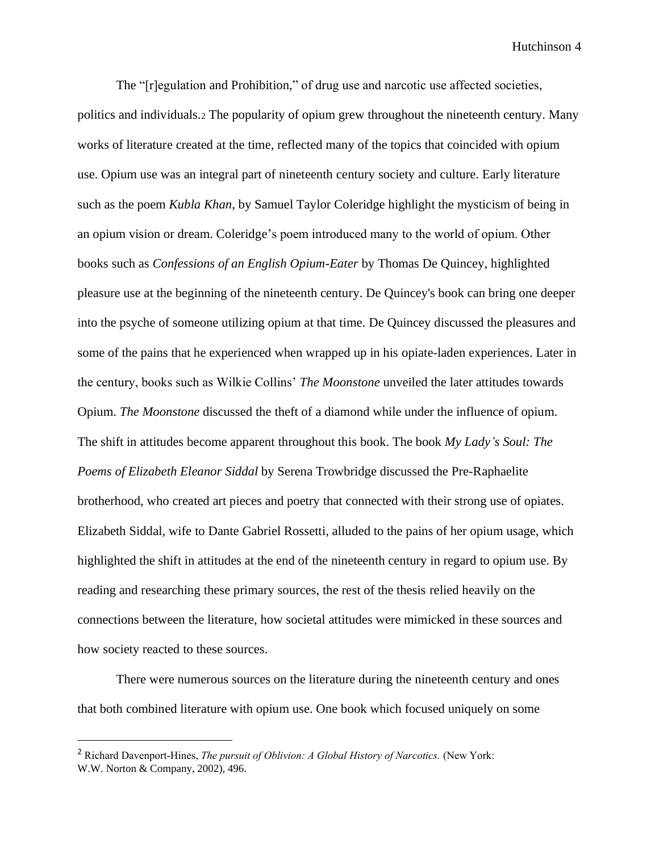The "[r]egulation and Prohibition," of drug use and narcotic use affected societies, politics and individuals.<sup>2</sup> The popularity of opium grew throughout the nineteenth century. Many works of literature created at the time, reflected many of the topics that coincided with opium use. Opium use was an integral part of nineteenth century society and culture. Early literature such as the poem *Kubla Khan*, by Samuel Taylor Coleridge highlight the mysticism of being in an opium vision or dream. Coleridge's poem introduced many to the world of opium. Other books such as *Confessions of an English Opium-Eater* by Thomas De Quincey, highlighted pleasure use at the beginning of the nineteenth century. De Quincey's book can bring one deeper into the psyche of someone utilizing opium at that time. De Quincey discussed the pleasures and some of the pains that he experienced when wrapped up in his opiate-laden experiences. Later in the century, books such as Wilkie Collins' *The Moonstone* unveiled the later attitudes towards Opium. *The Moonstone* discussed the theft of a diamond while under the influence of opium. The shift in attitudes become apparent throughout this book. The book *My Lady's Soul: The Poems of Elizabeth Eleanor Siddal* by Serena Trowbridge discussed the Pre-Raphaelite brotherhood, who created art pieces and poetry that connected with their strong use of opiates. Elizabeth Siddal, wife to Dante Gabriel Rossetti, alluded to the pains of her opium usage, which highlighted the shift in attitudes at the end of the nineteenth century in regard to opium use. By reading and researching these primary sources, the rest of the thesis relied heavily on the connections between the literature, how societal attitudes were mimicked in these sources and how society reacted to these sources.

There were numerous sources on the literature during the nineteenth century and ones that both combined literature with opium use. One book which focused uniquely on some

<sup>&</sup>lt;sup>2</sup> Richard Davenport-Hines, *The pursuit of Oblivion: A Global History of Narcotics*. (New York: W.W. Norton & Company, 2002), 496.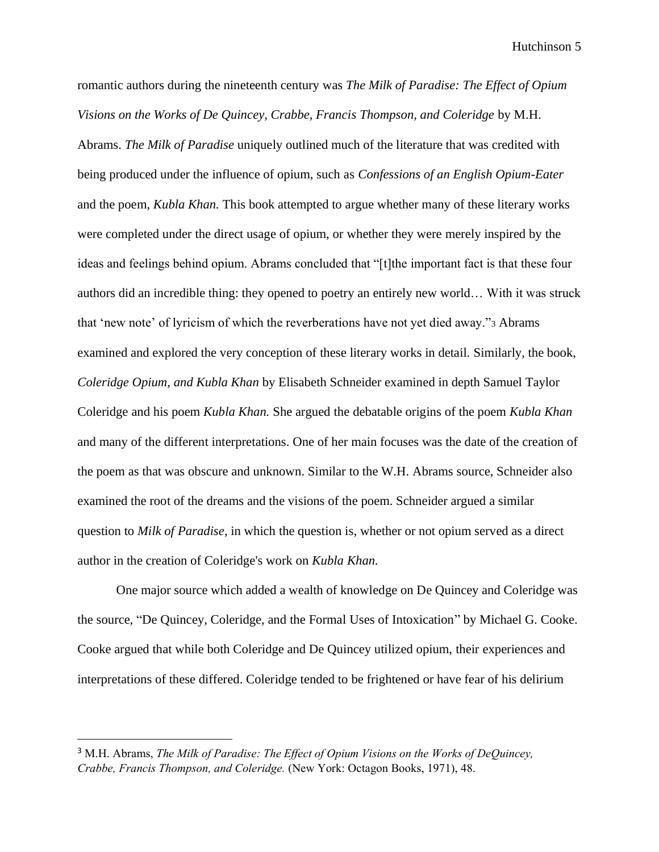romantic authors during the nineteenth century was *The Milk of Paradise: The Effect of Opium Visions on the Works of De Quincey, Crabbe, Francis Thompson, and Coleridge* by M.H. Abrams. *The Milk of Paradise* uniquely outlined much of the literature that was credited with being produced under the influence of opium, such as *Confessions of an English Opium-Eater*  and the poem, *Kubla Khan.* This book attempted to argue whether many of these literary works were completed under the direct usage of opium, or whether they were merely inspired by the ideas and feelings behind opium. Abrams concluded that "[t]the important fact is that these four authors did an incredible thing: they opened to poetry an entirely new world… With it was struck that 'new note' of lyricism of which the reverberations have not yet died away."<sup>3</sup> Abrams examined and explored the very conception of these literary works in detail. Similarly, the book, *Coleridge Opium, and Kubla Khan* by Elisabeth Schneider examined in depth Samuel Taylor Coleridge and his poem *Kubla Khan.* She argued the debatable origins of the poem *Kubla Khan* and many of the different interpretations. One of her main focuses was the date of the creation of the poem as that was obscure and unknown. Similar to the W.H. Abrams source, Schneider also examined the root of the dreams and the visions of the poem. Schneider argued a similar question to *Milk of Paradise*, in which the question is, whether or not opium served as a direct author in the creation of Coleridge's work on *Kubla Khan.* 

One major source which added a wealth of knowledge on De Quincey and Coleridge was the source, "De Quincey, Coleridge, and the Formal Uses of Intoxication" by Michael G. Cooke. Cooke argued that while both Coleridge and De Quincey utilized opium, their experiences and interpretations of these differed. Coleridge tended to be frightened or have fear of his delirium

<sup>&</sup>lt;sup>3</sup> M.H. Abrams, *The Milk of Paradise: The Effect of Opium Visions on the Works of DeQuincey, Crabbe, Francis Thompson, and Coleridge.* (New York: Octagon Books, 1971), 48.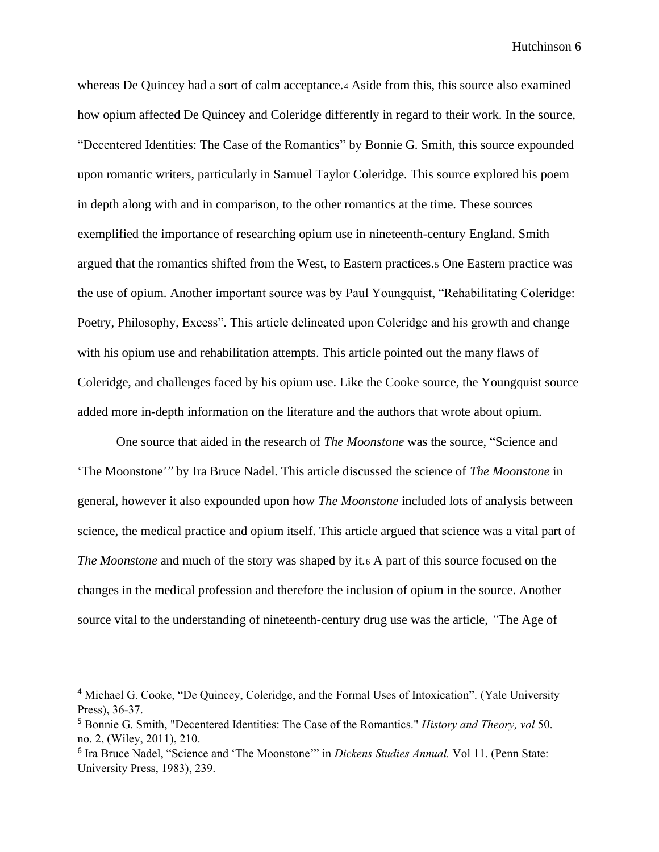whereas De Quincey had a sort of calm acceptance.<sup>4</sup> Aside from this, this source also examined how opium affected De Quincey and Coleridge differently in regard to their work. In the source, "Decentered Identities: The Case of the Romantics" by Bonnie G. Smith, this source expounded upon romantic writers, particularly in Samuel Taylor Coleridge. This source explored his poem in depth along with and in comparison, to the other romantics at the time. These sources exemplified the importance of researching opium use in nineteenth-century England. Smith argued that the romantics shifted from the West, to Eastern practices.<sup>5</sup> One Eastern practice was the use of opium. Another important source was by Paul Youngquist, "Rehabilitating Coleridge: Poetry, Philosophy, Excess". This article delineated upon Coleridge and his growth and change with his opium use and rehabilitation attempts. This article pointed out the many flaws of Coleridge, and challenges faced by his opium use. Like the Cooke source, the Youngquist source added more in-depth information on the literature and the authors that wrote about opium.

One source that aided in the research of *The Moonstone* was the source, "Science and 'The Moonstone*'"* by Ira Bruce Nadel. This article discussed the science of *The Moonstone* in general, however it also expounded upon how *The Moonstone* included lots of analysis between science, the medical practice and opium itself. This article argued that science was a vital part of *The Moonstone* and much of the story was shaped by it.<sup>6</sup> A part of this source focused on the changes in the medical profession and therefore the inclusion of opium in the source. Another source vital to the understanding of nineteenth-century drug use was the article, *"*The Age of

<sup>4</sup> Michael G. Cooke, "De Quincey, Coleridge, and the Formal Uses of Intoxication". (Yale University Press), 36-37.

<sup>5</sup> Bonnie G. Smith, "Decentered Identities: The Case of the Romantics." *History and Theory, vol* 50. no. 2, (Wiley, 2011), 210.

<sup>6</sup> Ira Bruce Nadel, "Science and 'The Moonstone'" in *Dickens Studies Annual.* Vol 11. (Penn State: University Press, 1983), 239.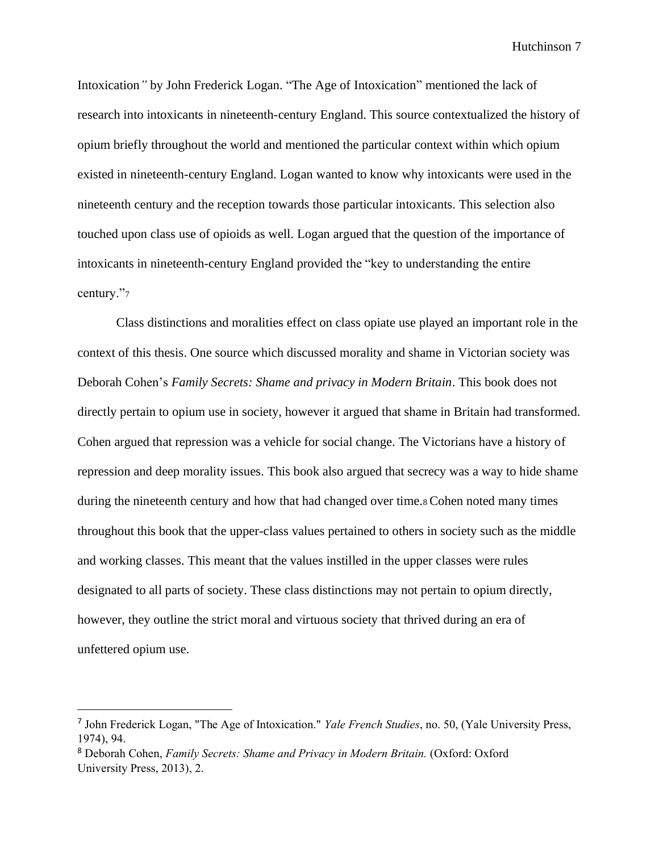Intoxication*"* by John Frederick Logan. "The Age of Intoxication" mentioned the lack of research into intoxicants in nineteenth-century England. This source contextualized the history of opium briefly throughout the world and mentioned the particular context within which opium existed in nineteenth-century England. Logan wanted to know why intoxicants were used in the nineteenth century and the reception towards those particular intoxicants. This selection also touched upon class use of opioids as well. Logan argued that the question of the importance of intoxicants in nineteenth-century England provided the "key to understanding the entire century."<sup>7</sup>

Class distinctions and moralities effect on class opiate use played an important role in the context of this thesis. One source which discussed morality and shame in Victorian society was Deborah Cohen's *Family Secrets: Shame and privacy in Modern Britain*. This book does not directly pertain to opium use in society, however it argued that shame in Britain had transformed. Cohen argued that repression was a vehicle for social change. The Victorians have a history of repression and deep morality issues. This book also argued that secrecy was a way to hide shame during the nineteenth century and how that had changed over time.<sup>8</sup> Cohen noted many times throughout this book that the upper-class values pertained to others in society such as the middle and working classes. This meant that the values instilled in the upper classes were rules designated to all parts of society. These class distinctions may not pertain to opium directly, however, they outline the strict moral and virtuous society that thrived during an era of unfettered opium use.

<sup>7</sup> John Frederick Logan, "The Age of Intoxication." *Yale French Studies*, no. 50, (Yale University Press, 1974), 94.

<sup>8</sup> Deborah Cohen, *Family Secrets: Shame and Privacy in Modern Britain.* (Oxford: Oxford University Press, 2013), 2.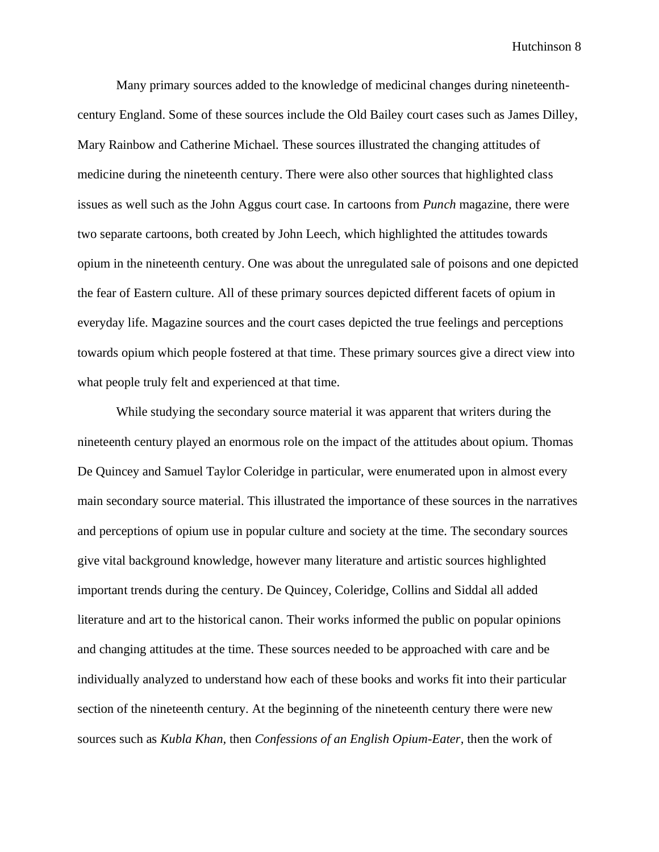Many primary sources added to the knowledge of medicinal changes during nineteenthcentury England. Some of these sources include the Old Bailey court cases such as James Dilley, Mary Rainbow and Catherine Michael. These sources illustrated the changing attitudes of medicine during the nineteenth century. There were also other sources that highlighted class issues as well such as the John Aggus court case. In cartoons from *Punch* magazine, there were two separate cartoons, both created by John Leech, which highlighted the attitudes towards opium in the nineteenth century. One was about the unregulated sale of poisons and one depicted the fear of Eastern culture. All of these primary sources depicted different facets of opium in everyday life. Magazine sources and the court cases depicted the true feelings and perceptions towards opium which people fostered at that time. These primary sources give a direct view into what people truly felt and experienced at that time.

While studying the secondary source material it was apparent that writers during the nineteenth century played an enormous role on the impact of the attitudes about opium. Thomas De Quincey and Samuel Taylor Coleridge in particular, were enumerated upon in almost every main secondary source material. This illustrated the importance of these sources in the narratives and perceptions of opium use in popular culture and society at the time. The secondary sources give vital background knowledge, however many literature and artistic sources highlighted important trends during the century. De Quincey, Coleridge, Collins and Siddal all added literature and art to the historical canon. Their works informed the public on popular opinions and changing attitudes at the time. These sources needed to be approached with care and be individually analyzed to understand how each of these books and works fit into their particular section of the nineteenth century. At the beginning of the nineteenth century there were new sources such as *Kubla Khan,* then *Confessions of an English Opium-Eater,* then the work of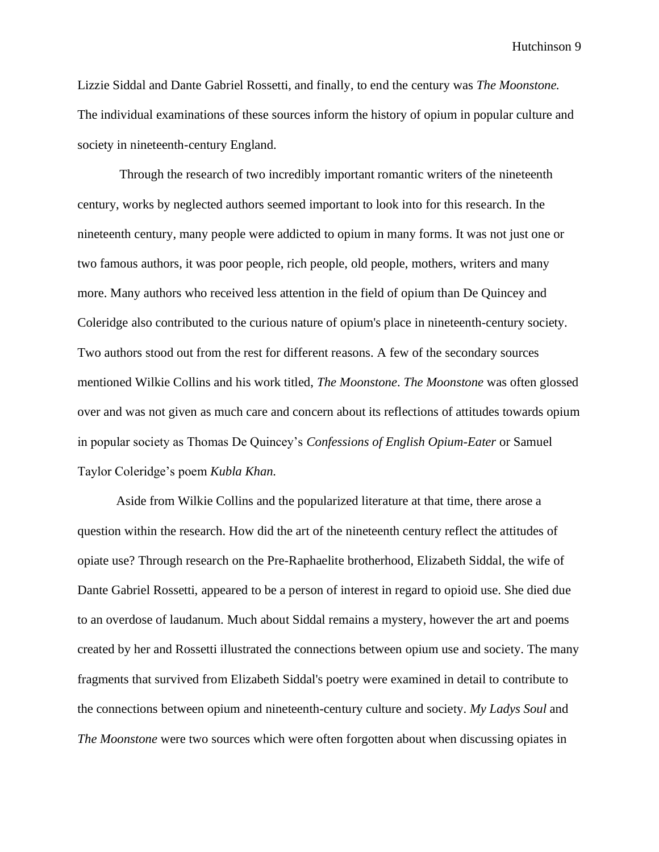Lizzie Siddal and Dante Gabriel Rossetti, and finally, to end the century was *The Moonstone.*  The individual examinations of these sources inform the history of opium in popular culture and society in nineteenth-century England.

Through the research of two incredibly important romantic writers of the nineteenth century, works by neglected authors seemed important to look into for this research. In the nineteenth century, many people were addicted to opium in many forms. It was not just one or two famous authors, it was poor people, rich people, old people, mothers, writers and many more. Many authors who received less attention in the field of opium than De Quincey and Coleridge also contributed to the curious nature of opium's place in nineteenth-century society. Two authors stood out from the rest for different reasons. A few of the secondary sources mentioned Wilkie Collins and his work titled, *The Moonstone*. *The Moonstone* was often glossed over and was not given as much care and concern about its reflections of attitudes towards opium in popular society as Thomas De Quincey's *Confessions of English Opium-Eater* or Samuel Taylor Coleridge's poem *Kubla Khan.*

Aside from Wilkie Collins and the popularized literature at that time, there arose a question within the research. How did the art of the nineteenth century reflect the attitudes of opiate use? Through research on the Pre-Raphaelite brotherhood, Elizabeth Siddal, the wife of Dante Gabriel Rossetti, appeared to be a person of interest in regard to opioid use. She died due to an overdose of laudanum. Much about Siddal remains a mystery, however the art and poems created by her and Rossetti illustrated the connections between opium use and society. The many fragments that survived from Elizabeth Siddal's poetry were examined in detail to contribute to the connections between opium and nineteenth-century culture and society. *My Ladys Soul* and *The Moonstone* were two sources which were often forgotten about when discussing opiates in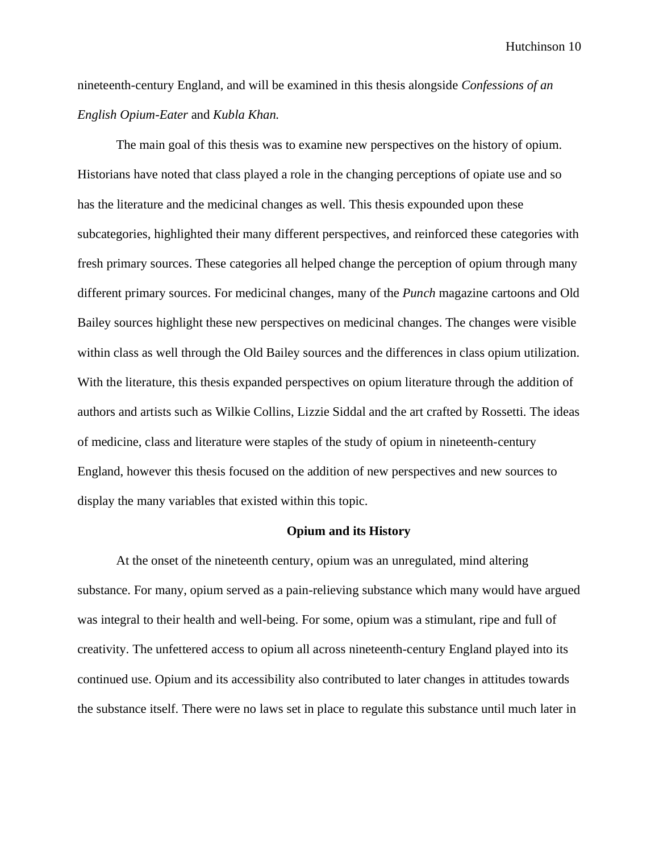nineteenth-century England, and will be examined in this thesis alongside *Confessions of an English Opium-Eater* and *Kubla Khan.*

The main goal of this thesis was to examine new perspectives on the history of opium. Historians have noted that class played a role in the changing perceptions of opiate use and so has the literature and the medicinal changes as well. This thesis expounded upon these subcategories, highlighted their many different perspectives, and reinforced these categories with fresh primary sources. These categories all helped change the perception of opium through many different primary sources. For medicinal changes, many of the *Punch* magazine cartoons and Old Bailey sources highlight these new perspectives on medicinal changes. The changes were visible within class as well through the Old Bailey sources and the differences in class opium utilization. With the literature, this thesis expanded perspectives on opium literature through the addition of authors and artists such as Wilkie Collins, Lizzie Siddal and the art crafted by Rossetti. The ideas of medicine, class and literature were staples of the study of opium in nineteenth-century England, however this thesis focused on the addition of new perspectives and new sources to display the many variables that existed within this topic.

#### **Opium and its History**

At the onset of the nineteenth century, opium was an unregulated, mind altering substance. For many, opium served as a pain-relieving substance which many would have argued was integral to their health and well-being. For some, opium was a stimulant, ripe and full of creativity. The unfettered access to opium all across nineteenth-century England played into its continued use. Opium and its accessibility also contributed to later changes in attitudes towards the substance itself. There were no laws set in place to regulate this substance until much later in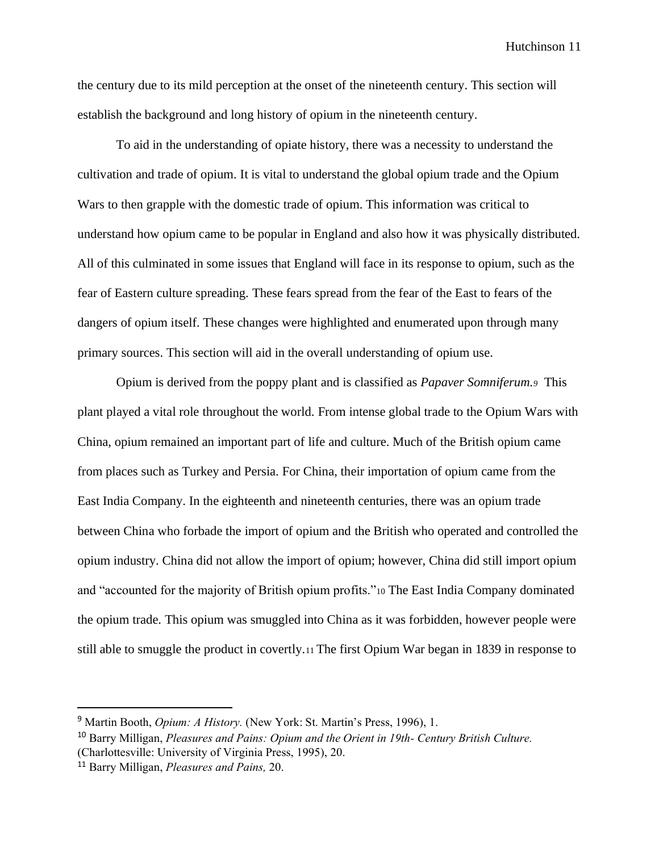the century due to its mild perception at the onset of the nineteenth century. This section will establish the background and long history of opium in the nineteenth century.

To aid in the understanding of opiate history, there was a necessity to understand the cultivation and trade of opium. It is vital to understand the global opium trade and the Opium Wars to then grapple with the domestic trade of opium. This information was critical to understand how opium came to be popular in England and also how it was physically distributed. All of this culminated in some issues that England will face in its response to opium, such as the fear of Eastern culture spreading. These fears spread from the fear of the East to fears of the dangers of opium itself. These changes were highlighted and enumerated upon through many primary sources. This section will aid in the overall understanding of opium use.

Opium is derived from the poppy plant and is classified as *Papaver Somniferum.9* This plant played a vital role throughout the world. From intense global trade to the Opium Wars with China, opium remained an important part of life and culture. Much of the British opium came from places such as Turkey and Persia. For China, their importation of opium came from the East India Company. In the eighteenth and nineteenth centuries, there was an opium trade between China who forbade the import of opium and the British who operated and controlled the opium industry. China did not allow the import of opium; however, China did still import opium and "accounted for the majority of British opium profits."<sup>10</sup> The East India Company dominated the opium trade. This opium was smuggled into China as it was forbidden, however people were still able to smuggle the product in covertly.<sup>11</sup> The first Opium War began in 1839 in response to

<sup>&</sup>lt;sup>9</sup> Martin Booth, *Opium: A History.* (New York: St. Martin's Press, 1996), 1.

<sup>10</sup> Barry Milligan, *Pleasures and Pains: Opium and the Orient in 19th- Century British Culture.*  (Charlottesville: University of Virginia Press, 1995), 20.

<sup>11</sup> Barry Milligan, *Pleasures and Pains,* 20.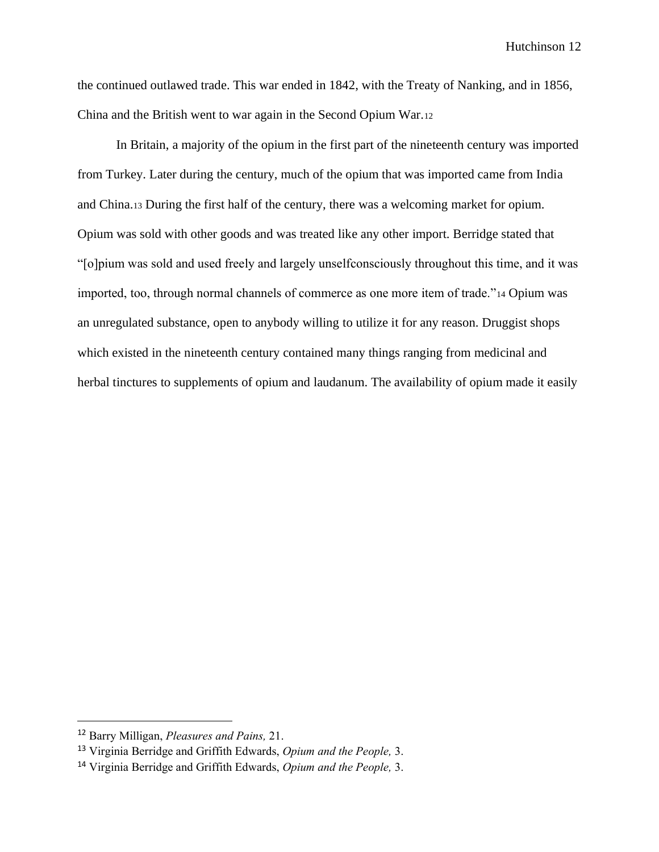the continued outlawed trade. This war ended in 1842, with the Treaty of Nanking, and in 1856, China and the British went to war again in the Second Opium War.<sup>12</sup>

In Britain, a majority of the opium in the first part of the nineteenth century was imported from Turkey. Later during the century, much of the opium that was imported came from India and China.<sup>13</sup> During the first half of the century, there was a welcoming market for opium. Opium was sold with other goods and was treated like any other import. Berridge stated that "[o]pium was sold and used freely and largely unselfconsciously throughout this time, and it was imported, too, through normal channels of commerce as one more item of trade."<sup>14</sup> Opium was an unregulated substance, open to anybody willing to utilize it for any reason. Druggist shops which existed in the nineteenth century contained many things ranging from medicinal and herbal tinctures to supplements of opium and laudanum. The availability of opium made it easily

<sup>12</sup> Barry Milligan, *Pleasures and Pains,* 21.

<sup>13</sup> Virginia Berridge and Griffith Edwards, *Opium and the People,* 3.

<sup>14</sup> Virginia Berridge and Griffith Edwards, *Opium and the People,* 3.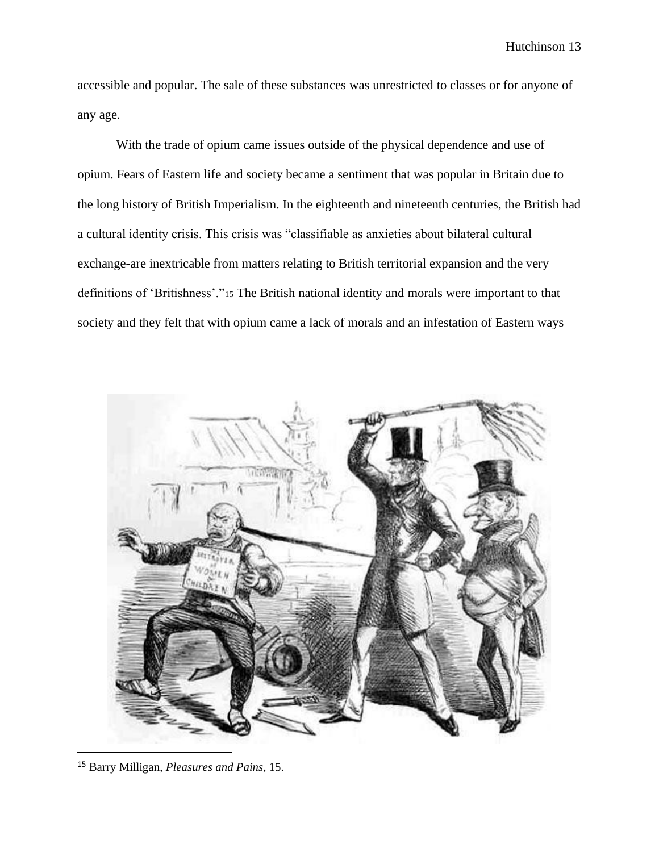accessible and popular. The sale of these substances was unrestricted to classes or for anyone of any age.

With the trade of opium came issues outside of the physical dependence and use of opium. Fears of Eastern life and society became a sentiment that was popular in Britain due to the long history of British Imperialism. In the eighteenth and nineteenth centuries, the British had a cultural identity crisis. This crisis was "classifiable as anxieties about bilateral cultural exchange-are inextricable from matters relating to British territorial expansion and the very definitions of 'Britishness'."<sup>15</sup> The British national identity and morals were important to that society and they felt that with opium came a lack of morals and an infestation of Eastern ways



<sup>15</sup> Barry Milligan, *Pleasures and Pains,* 15.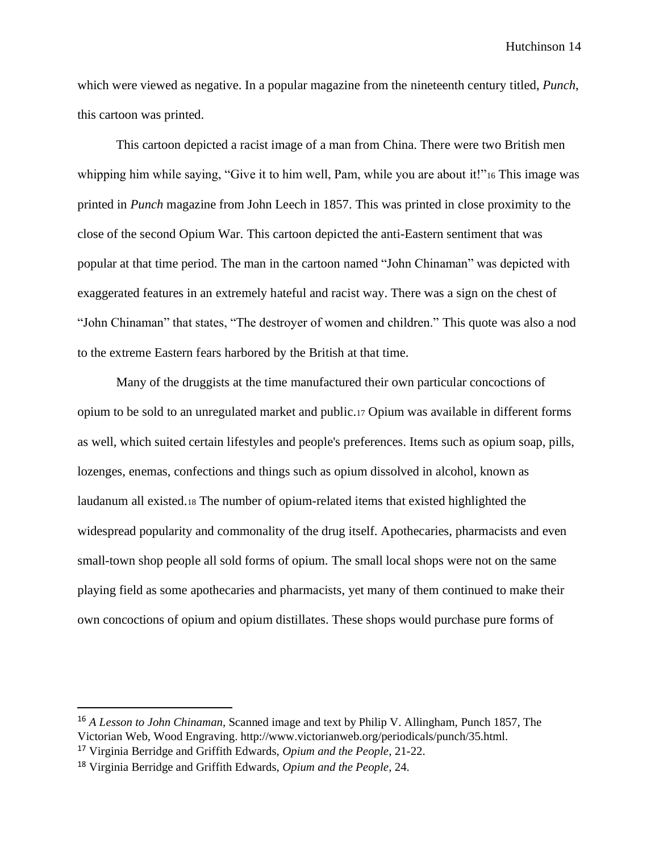which were viewed as negative. In a popular magazine from the nineteenth century titled, *Punch*, this cartoon was printed.

This cartoon depicted a racist image of a man from China. There were two British men whipping him while saying, "Give it to him well, Pam, while you are about it!"<sup>16</sup> This image was printed in *Punch* magazine from John Leech in 1857. This was printed in close proximity to the close of the second Opium War. This cartoon depicted the anti-Eastern sentiment that was popular at that time period. The man in the cartoon named "John Chinaman" was depicted with exaggerated features in an extremely hateful and racist way. There was a sign on the chest of "John Chinaman" that states, "The destroyer of women and children." This quote was also a nod to the extreme Eastern fears harbored by the British at that time.

Many of the druggists at the time manufactured their own particular concoctions of opium to be sold to an unregulated market and public.<sup>17</sup> Opium was available in different forms as well, which suited certain lifestyles and people's preferences. Items such as opium soap, pills, lozenges, enemas, confections and things such as opium dissolved in alcohol, known as laudanum all existed.<sup>18</sup> The number of opium-related items that existed highlighted the widespread popularity and commonality of the drug itself. Apothecaries, pharmacists and even small-town shop people all sold forms of opium. The small local shops were not on the same playing field as some apothecaries and pharmacists, yet many of them continued to make their own concoctions of opium and opium distillates. These shops would purchase pure forms of

<sup>16</sup> *A Lesson to John Chinaman,* Scanned image and text by Philip V. Allingham, Punch 1857, The Victorian Web, Wood Engraving. http://www.victorianweb.org/periodicals/punch/35.html.

<sup>17</sup> Virginia Berridge and Griffith Edwards, *Opium and the People,* 21-22.

<sup>18</sup> Virginia Berridge and Griffith Edwards, *Opium and the People,* 24.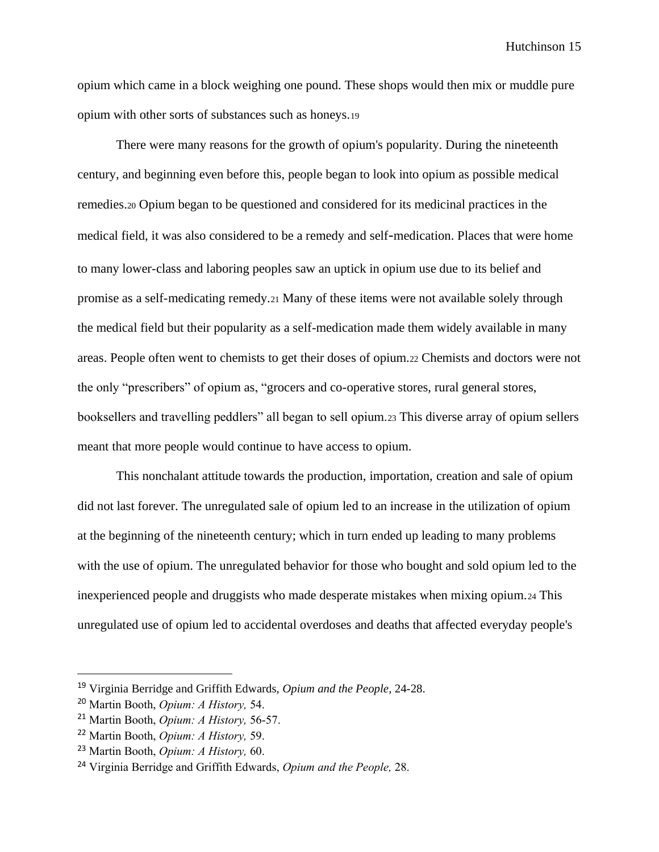opium which came in a block weighing one pound. These shops would then mix or muddle pure opium with other sorts of substances such as honeys.<sup>19</sup>

There were many reasons for the growth of opium's popularity. During the nineteenth century, and beginning even before this, people began to look into opium as possible medical remedies.<sup>20</sup> Opium began to be questioned and considered for its medicinal practices in the medical field, it was also considered to be a remedy and self-medication. Places that were home to many lower-class and laboring peoples saw an uptick in opium use due to its belief and promise as a self-medicating remedy.<sup>21</sup> Many of these items were not available solely through the medical field but their popularity as a self-medication made them widely available in many areas. People often went to chemists to get their doses of opium.<sup>22</sup> Chemists and doctors were not the only "prescribers" of opium as, "grocers and co-operative stores, rural general stores, booksellers and travelling peddlers" all began to sell opium.<sup>23</sup> This diverse array of opium sellers meant that more people would continue to have access to opium.

This nonchalant attitude towards the production, importation, creation and sale of opium did not last forever. The unregulated sale of opium led to an increase in the utilization of opium at the beginning of the nineteenth century; which in turn ended up leading to many problems with the use of opium. The unregulated behavior for those who bought and sold opium led to the inexperienced people and druggists who made desperate mistakes when mixing opium.<sup>24</sup> This unregulated use of opium led to accidental overdoses and deaths that affected everyday people's

<sup>19</sup> Virginia Berridge and Griffith Edwards, *Opium and the People,* 24-28.

<sup>20</sup> Martin Booth, *Opium: A History,* 54.

<sup>21</sup> Martin Booth, *Opium: A History,* 56-57.

<sup>22</sup> Martin Booth, *Opium: A History,* 59.

<sup>23</sup> Martin Booth, *Opium: A History,* 60.

<sup>24</sup> Virginia Berridge and Griffith Edwards, *Opium and the People,* 28.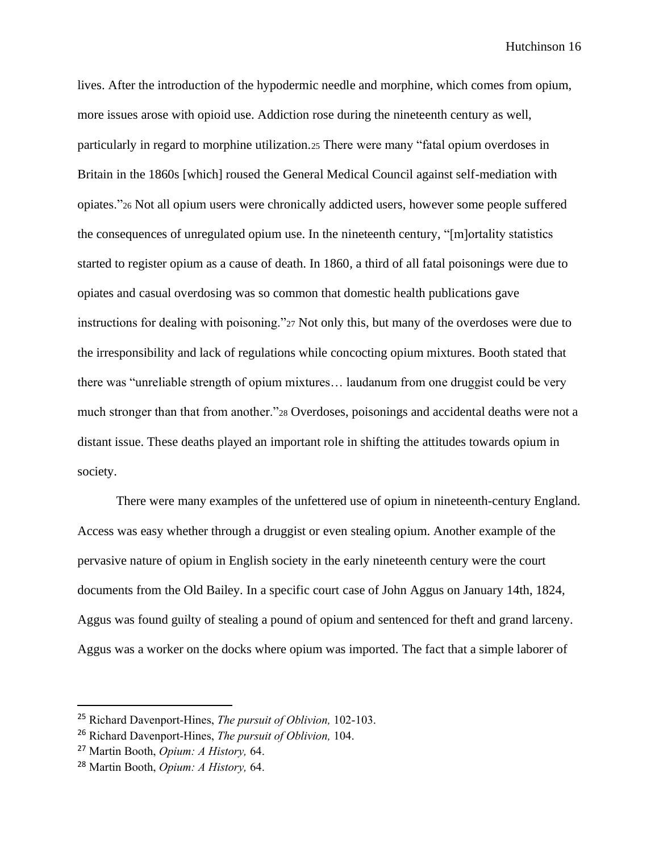lives. After the introduction of the hypodermic needle and morphine, which comes from opium, more issues arose with opioid use. Addiction rose during the nineteenth century as well, particularly in regard to morphine utilization.<sup>25</sup> There were many "fatal opium overdoses in Britain in the 1860s [which] roused the General Medical Council against self-mediation with opiates."<sup>26</sup> Not all opium users were chronically addicted users, however some people suffered the consequences of unregulated opium use. In the nineteenth century, "[m]ortality statistics started to register opium as a cause of death. In 1860, a third of all fatal poisonings were due to opiates and casual overdosing was so common that domestic health publications gave instructions for dealing with poisoning."<sup>27</sup> Not only this, but many of the overdoses were due to the irresponsibility and lack of regulations while concocting opium mixtures. Booth stated that there was "unreliable strength of opium mixtures… laudanum from one druggist could be very much stronger than that from another."<sup>28</sup> Overdoses, poisonings and accidental deaths were not a distant issue. These deaths played an important role in shifting the attitudes towards opium in society.

There were many examples of the unfettered use of opium in nineteenth-century England. Access was easy whether through a druggist or even stealing opium. Another example of the pervasive nature of opium in English society in the early nineteenth century were the court documents from the Old Bailey*.* In a specific court case of John Aggus on January 14th, 1824, Aggus was found guilty of stealing a pound of opium and sentenced for theft and grand larceny. Aggus was a worker on the docks where opium was imported. The fact that a simple laborer of

<sup>25</sup> Richard Davenport-Hines, *The pursuit of Oblivion,* 102-103.

<sup>26</sup> Richard Davenport-Hines, *The pursuit of Oblivion,* 104.

<sup>27</sup> Martin Booth, *Opium: A History,* 64.

<sup>28</sup> Martin Booth, *Opium: A History,* 64.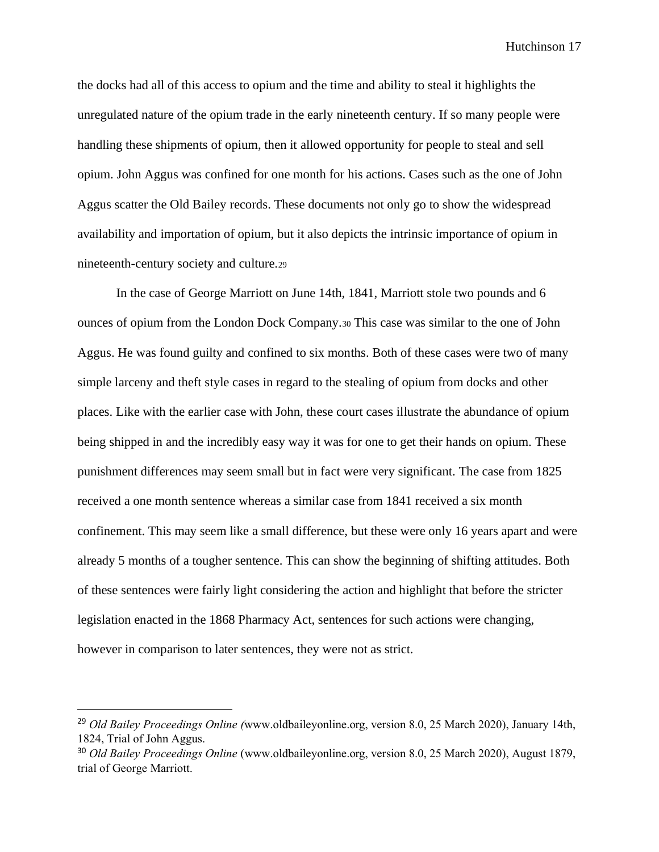the docks had all of this access to opium and the time and ability to steal it highlights the unregulated nature of the opium trade in the early nineteenth century. If so many people were handling these shipments of opium, then it allowed opportunity for people to steal and sell opium. John Aggus was confined for one month for his actions. Cases such as the one of John Aggus scatter the Old Bailey records. These documents not only go to show the widespread availability and importation of opium, but it also depicts the intrinsic importance of opium in nineteenth-century society and culture.<sup>29</sup>

In the case of George Marriott on June 14th, 1841, Marriott stole two pounds and 6 ounces of opium from the London Dock Company.<sup>30</sup> This case was similar to the one of John Aggus. He was found guilty and confined to six months. Both of these cases were two of many simple larceny and theft style cases in regard to the stealing of opium from docks and other places. Like with the earlier case with John, these court cases illustrate the abundance of opium being shipped in and the incredibly easy way it was for one to get their hands on opium. These punishment differences may seem small but in fact were very significant. The case from 1825 received a one month sentence whereas a similar case from 1841 received a six month confinement. This may seem like a small difference, but these were only 16 years apart and were already 5 months of a tougher sentence. This can show the beginning of shifting attitudes. Both of these sentences were fairly light considering the action and highlight that before the stricter legislation enacted in the 1868 Pharmacy Act, sentences for such actions were changing, however in comparison to later sentences, they were not as strict.

<sup>29</sup> *Old Bailey Proceedings Online (*www.oldbaileyonline.org, version 8.0, 25 March 2020), January 14th, 1824, Trial of John Aggus.

<sup>30</sup> *Old Bailey Proceedings Online* (www.oldbaileyonline.org, version 8.0, 25 March 2020), August 1879, trial of George Marriott.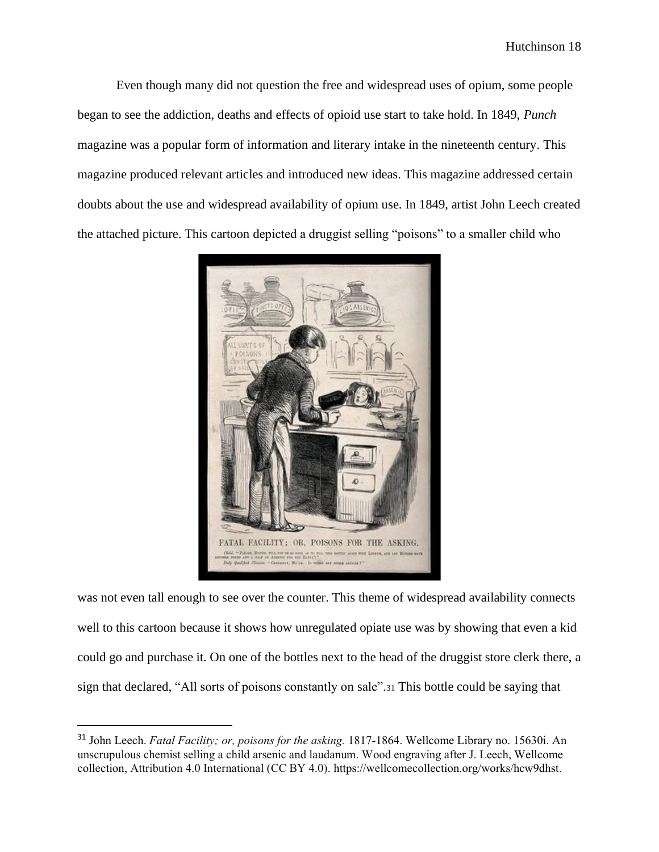Even though many did not question the free and widespread uses of opium, some people began to see the addiction, deaths and effects of opioid use start to take hold. In 1849, *Punch*  magazine was a popular form of information and literary intake in the nineteenth century. This magazine produced relevant articles and introduced new ideas. This magazine addressed certain doubts about the use and widespread availability of opium use. In 1849, artist John Leech created the attached picture. This cartoon depicted a druggist selling "poisons" to a smaller child who



was not even tall enough to see over the counter. This theme of widespread availability connects well to this cartoon because it shows how unregulated opiate use was by showing that even a kid could go and purchase it. On one of the bottles next to the head of the druggist store clerk there, a sign that declared, "All sorts of poisons constantly on sale".<sup>31</sup> This bottle could be saying that

<sup>31</sup> John Leech. *Fatal Facility; or, poisons for the asking.* 1817-1864. Wellcome Library no. 15630i. An unscrupulous chemist selling a child arsenic and laudanum. Wood engraving after J. Leech, Wellcome collection, Attribution 4.0 International (CC BY 4.0). [https://wellcomecollection.org/works/hcw9dhst.](https://wellcomecollection.org/works/hcw9dhst)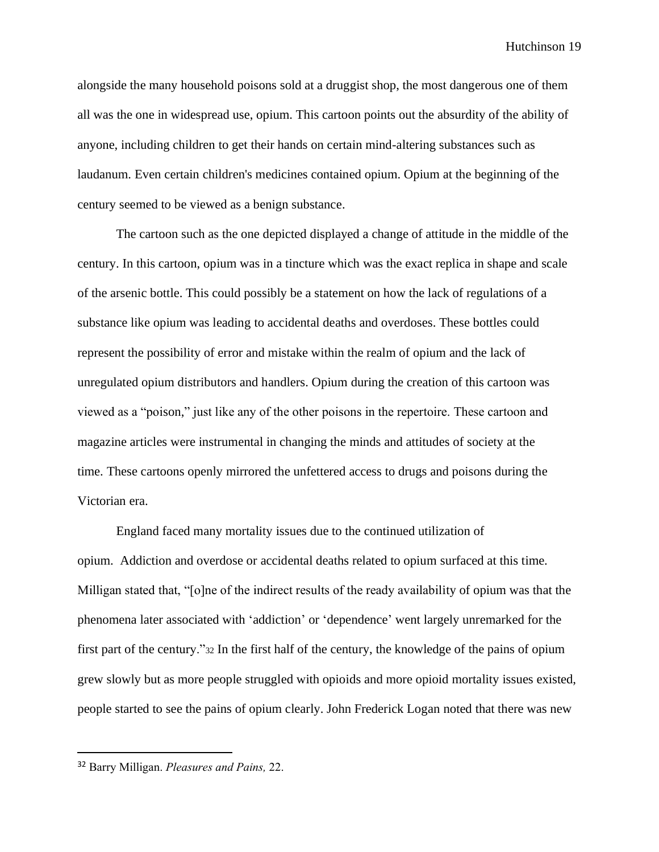alongside the many household poisons sold at a druggist shop, the most dangerous one of them all was the one in widespread use, opium. This cartoon points out the absurdity of the ability of anyone, including children to get their hands on certain mind-altering substances such as laudanum. Even certain children's medicines contained opium. Opium at the beginning of the century seemed to be viewed as a benign substance.

The cartoon such as the one depicted displayed a change of attitude in the middle of the century. In this cartoon, opium was in a tincture which was the exact replica in shape and scale of the arsenic bottle. This could possibly be a statement on how the lack of regulations of a substance like opium was leading to accidental deaths and overdoses. These bottles could represent the possibility of error and mistake within the realm of opium and the lack of unregulated opium distributors and handlers. Opium during the creation of this cartoon was viewed as a "poison," just like any of the other poisons in the repertoire. These cartoon and magazine articles were instrumental in changing the minds and attitudes of society at the time. These cartoons openly mirrored the unfettered access to drugs and poisons during the Victorian era.

England faced many mortality issues due to the continued utilization of opium. Addiction and overdose or accidental deaths related to opium surfaced at this time. Milligan stated that, "[o]ne of the indirect results of the ready availability of opium was that the phenomena later associated with 'addiction' or 'dependence' went largely unremarked for the first part of the century."<sup>32</sup> In the first half of the century, the knowledge of the pains of opium grew slowly but as more people struggled with opioids and more opioid mortality issues existed, people started to see the pains of opium clearly. John Frederick Logan noted that there was new

<sup>32</sup> Barry Milligan. *Pleasures and Pains,* 22.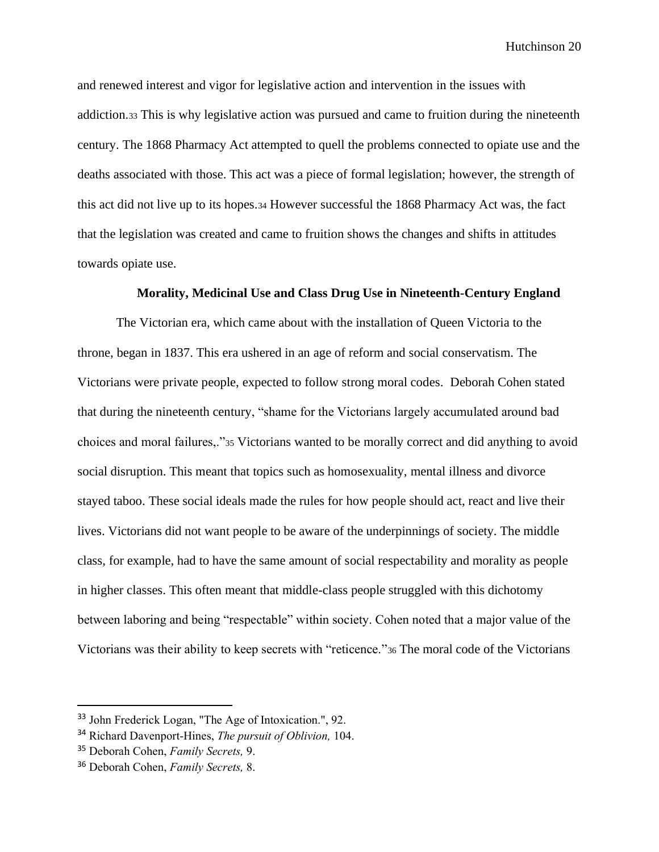and renewed interest and vigor for legislative action and intervention in the issues with addiction.<sup>33</sup> This is why legislative action was pursued and came to fruition during the nineteenth century. The 1868 Pharmacy Act attempted to quell the problems connected to opiate use and the deaths associated with those. This act was a piece of formal legislation; however, the strength of this act did not live up to its hopes.<sup>34</sup> However successful the 1868 Pharmacy Act was, the fact that the legislation was created and came to fruition shows the changes and shifts in attitudes towards opiate use.

## **Morality, Medicinal Use and Class Drug Use in Nineteenth-Century England**

The Victorian era, which came about with the installation of Queen Victoria to the throne, began in 1837. This era ushered in an age of reform and social conservatism. The Victorians were private people, expected to follow strong moral codes. Deborah Cohen stated that during the nineteenth century, "shame for the Victorians largely accumulated around bad choices and moral failures,."<sup>35</sup> Victorians wanted to be morally correct and did anything to avoid social disruption. This meant that topics such as homosexuality, mental illness and divorce stayed taboo. These social ideals made the rules for how people should act, react and live their lives. Victorians did not want people to be aware of the underpinnings of society. The middle class, for example, had to have the same amount of social respectability and morality as people in higher classes. This often meant that middle-class people struggled with this dichotomy between laboring and being "respectable" within society. Cohen noted that a major value of the Victorians was their ability to keep secrets with "reticence."<sup>36</sup> The moral code of the Victorians

<sup>33</sup> John Frederick Logan, "The Age of Intoxication.", 92.

<sup>34</sup> Richard Davenport-Hines, *The pursuit of Oblivion,* 104.

<sup>35</sup> Deborah Cohen, *Family Secrets,* 9.

<sup>36</sup> Deborah Cohen, *Family Secrets,* 8.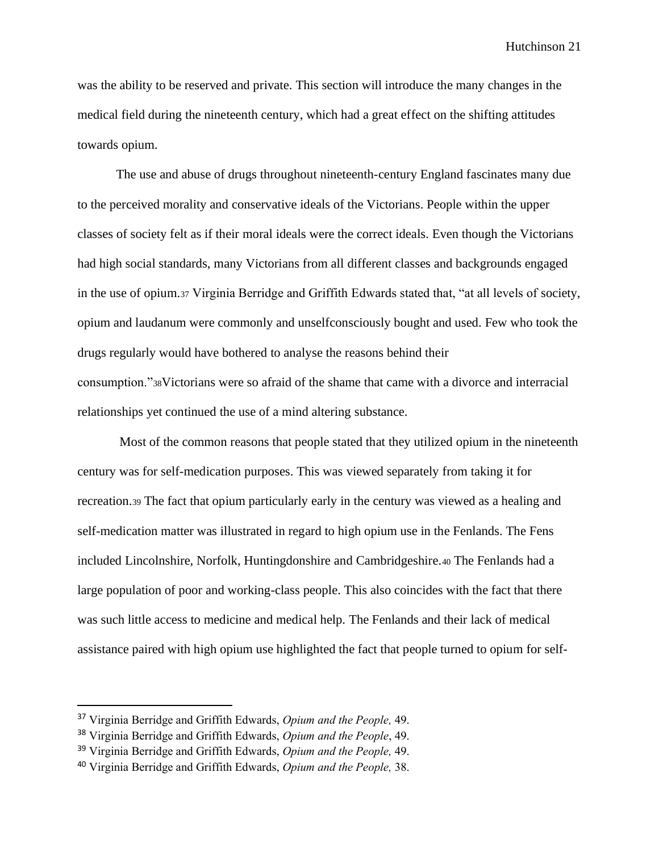was the ability to be reserved and private. This section will introduce the many changes in the medical field during the nineteenth century, which had a great effect on the shifting attitudes towards opium.

The use and abuse of drugs throughout nineteenth-century England fascinates many due to the perceived morality and conservative ideals of the Victorians. People within the upper classes of society felt as if their moral ideals were the correct ideals. Even though the Victorians had high social standards, many Victorians from all different classes and backgrounds engaged in the use of opium.<sup>37</sup> Virginia Berridge and Griffith Edwards stated that, "at all levels of society, opium and laudanum were commonly and unselfconsciously bought and used. Few who took the drugs regularly would have bothered to analyse the reasons behind their consumption."38Victorians were so afraid of the shame that came with a divorce and interracial relationships yet continued the use of a mind altering substance.

Most of the common reasons that people stated that they utilized opium in the nineteenth century was for self-medication purposes. This was viewed separately from taking it for recreation.<sup>39</sup> The fact that opium particularly early in the century was viewed as a healing and self-medication matter was illustrated in regard to high opium use in the Fenlands. The Fens included Lincolnshire, Norfolk, Huntingdonshire and Cambridgeshire.<sup>40</sup> The Fenlands had a large population of poor and working-class people. This also coincides with the fact that there was such little access to medicine and medical help. The Fenlands and their lack of medical assistance paired with high opium use highlighted the fact that people turned to opium for self-

<sup>37</sup> Virginia Berridge and Griffith Edwards, *Opium and the People,* 49.

<sup>38</sup> Virginia Berridge and Griffith Edwards, *Opium and the People*, 49.

<sup>39</sup> Virginia Berridge and Griffith Edwards, *Opium and the People,* 49.

<sup>40</sup> Virginia Berridge and Griffith Edwards, *Opium and the People,* 38.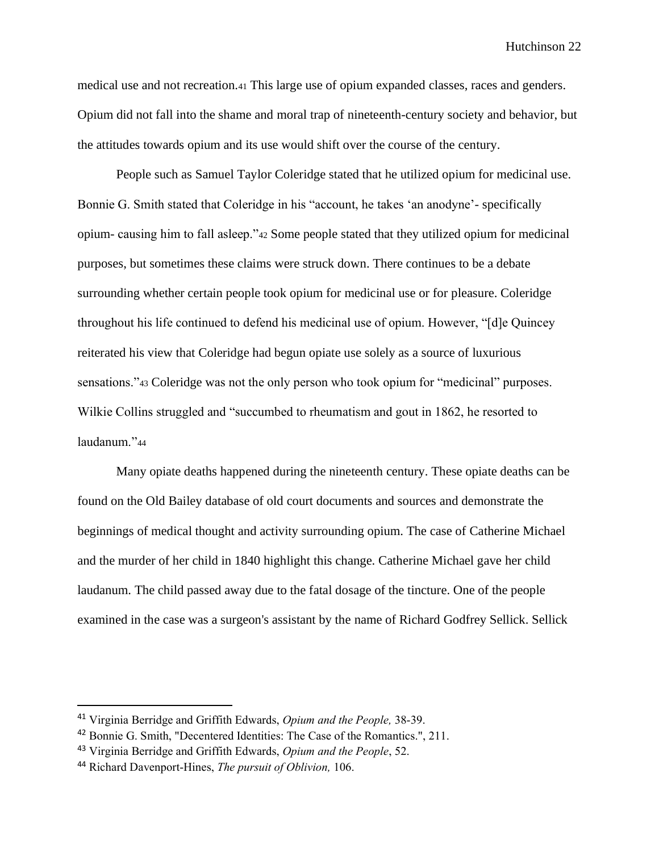medical use and not recreation.<sup>41</sup> This large use of opium expanded classes, races and genders. Opium did not fall into the shame and moral trap of nineteenth-century society and behavior, but the attitudes towards opium and its use would shift over the course of the century.

People such as Samuel Taylor Coleridge stated that he utilized opium for medicinal use. Bonnie G. Smith stated that Coleridge in his "account, he takes 'an anodyne'- specifically opium- causing him to fall asleep."<sup>42</sup> Some people stated that they utilized opium for medicinal purposes, but sometimes these claims were struck down. There continues to be a debate surrounding whether certain people took opium for medicinal use or for pleasure. Coleridge throughout his life continued to defend his medicinal use of opium. However, "[d]e Quincey reiterated his view that Coleridge had begun opiate use solely as a source of luxurious sensations."<sup>43</sup> Coleridge was not the only person who took opium for "medicinal" purposes. Wilkie Collins struggled and "succumbed to rheumatism and gout in 1862, he resorted to laudanum."<sup>44</sup>

Many opiate deaths happened during the nineteenth century. These opiate deaths can be found on the Old Bailey database of old court documents and sources and demonstrate the beginnings of medical thought and activity surrounding opium. The case of Catherine Michael and the murder of her child in 1840 highlight this change. Catherine Michael gave her child laudanum. The child passed away due to the fatal dosage of the tincture. One of the people examined in the case was a surgeon's assistant by the name of Richard Godfrey Sellick. Sellick

<sup>41</sup> Virginia Berridge and Griffith Edwards, *Opium and the People,* 38-39.

<sup>&</sup>lt;sup>42</sup> Bonnie G. Smith, "Decentered Identities: The Case of the Romantics.", 211.

<sup>43</sup> Virginia Berridge and Griffith Edwards, *Opium and the People*, 52.

<sup>44</sup> Richard Davenport-Hines, *The pursuit of Oblivion,* 106.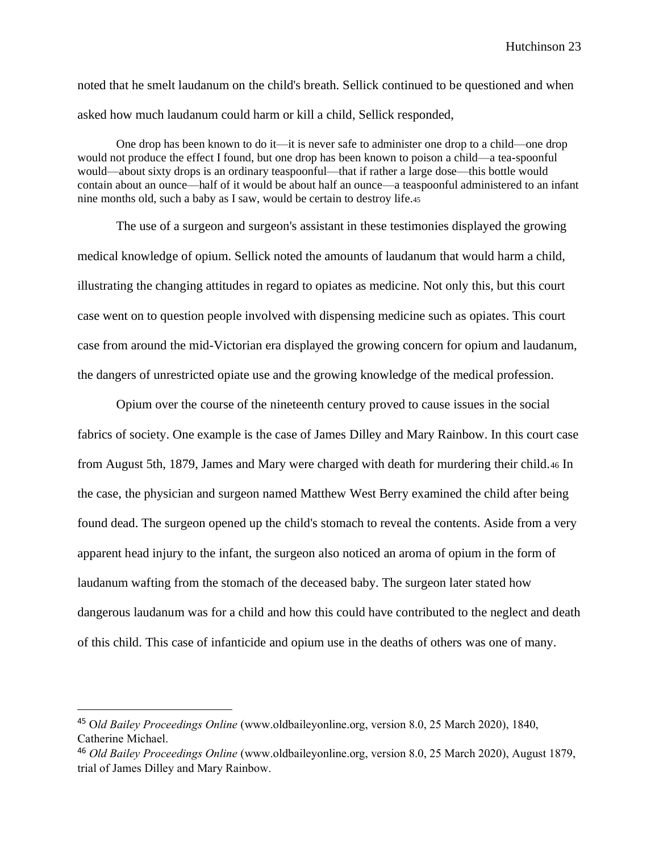noted that he smelt laudanum on the child's breath. Sellick continued to be questioned and when asked how much laudanum could harm or kill a child, Sellick responded,

One drop has been known to do it—it is never safe to administer one drop to a child—one drop would not produce the effect I found, but one drop has been known to poison a child—a tea-spoonful would—about sixty drops is an ordinary teaspoonful—that if rather a large dose—this bottle would contain about an ounce—half of it would be about half an ounce—a teaspoonful administered to an infant nine months old, such a baby as I saw, would be certain to destroy life.<sup>45</sup>

The use of a surgeon and surgeon's assistant in these testimonies displayed the growing medical knowledge of opium. Sellick noted the amounts of laudanum that would harm a child, illustrating the changing attitudes in regard to opiates as medicine. Not only this, but this court case went on to question people involved with dispensing medicine such as opiates. This court case from around the mid-Victorian era displayed the growing concern for opium and laudanum, the dangers of unrestricted opiate use and the growing knowledge of the medical profession.

Opium over the course of the nineteenth century proved to cause issues in the social fabrics of society. One example is the case of James Dilley and Mary Rainbow. In this court case from August 5th, 1879, James and Mary were charged with death for murdering their child.<sup>46</sup> In the case, the physician and surgeon named Matthew West Berry examined the child after being found dead. The surgeon opened up the child's stomach to reveal the contents. Aside from a very apparent head injury to the infant, the surgeon also noticed an aroma of opium in the form of laudanum wafting from the stomach of the deceased baby. The surgeon later stated how dangerous laudanum was for a child and how this could have contributed to the neglect and death of this child. This case of infanticide and opium use in the deaths of others was one of many.

<sup>45</sup> O*ld Bailey Proceedings Online* (www.oldbaileyonline.org, version 8.0, 25 March 2020), 1840, Catherine Michael.

<sup>46</sup> *Old Bailey Proceedings Online* (www.oldbaileyonline.org, version 8.0, 25 March 2020), August 1879, trial of James Dilley and Mary Rainbow.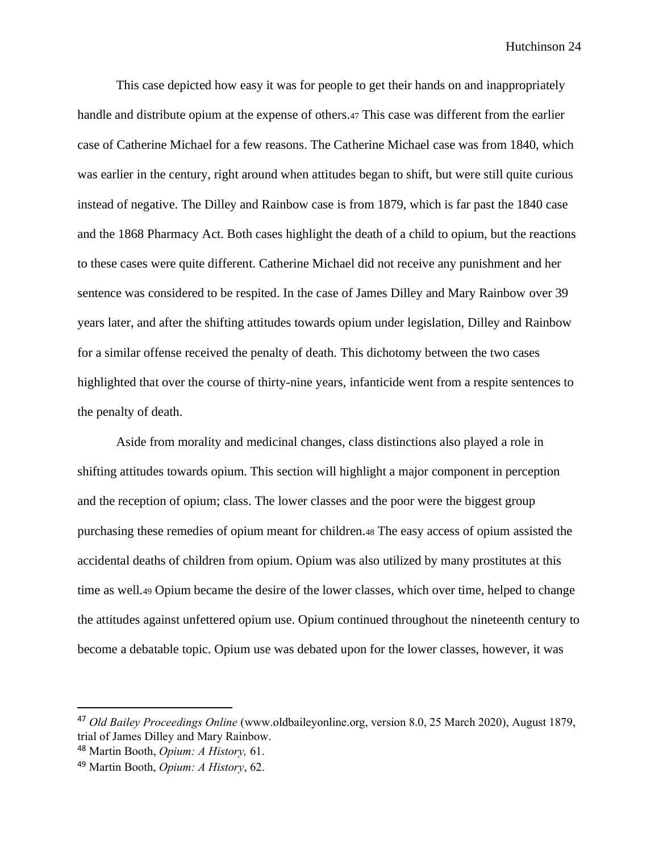This case depicted how easy it was for people to get their hands on and inappropriately handle and distribute opium at the expense of others.<sup>47</sup> This case was different from the earlier case of Catherine Michael for a few reasons. The Catherine Michael case was from 1840, which was earlier in the century, right around when attitudes began to shift, but were still quite curious instead of negative. The Dilley and Rainbow case is from 1879, which is far past the 1840 case and the 1868 Pharmacy Act. Both cases highlight the death of a child to opium, but the reactions to these cases were quite different. Catherine Michael did not receive any punishment and her sentence was considered to be respited. In the case of James Dilley and Mary Rainbow over 39 years later, and after the shifting attitudes towards opium under legislation, Dilley and Rainbow for a similar offense received the penalty of death. This dichotomy between the two cases highlighted that over the course of thirty-nine years, infanticide went from a respite sentences to the penalty of death.

Aside from morality and medicinal changes, class distinctions also played a role in shifting attitudes towards opium. This section will highlight a major component in perception and the reception of opium; class. The lower classes and the poor were the biggest group purchasing these remedies of opium meant for children.<sup>48</sup> The easy access of opium assisted the accidental deaths of children from opium. Opium was also utilized by many prostitutes at this time as well.<sup>49</sup> Opium became the desire of the lower classes, which over time, helped to change the attitudes against unfettered opium use. Opium continued throughout the nineteenth century to become a debatable topic. Opium use was debated upon for the lower classes, however, it was

<sup>47</sup> *Old Bailey Proceedings Online* (www.oldbaileyonline.org, version 8.0, 25 March 2020), August 1879, trial of James Dilley and Mary Rainbow.

<sup>48</sup> Martin Booth, *Opium: A History,* 61.

<sup>49</sup> Martin Booth, *Opium: A History*, 62.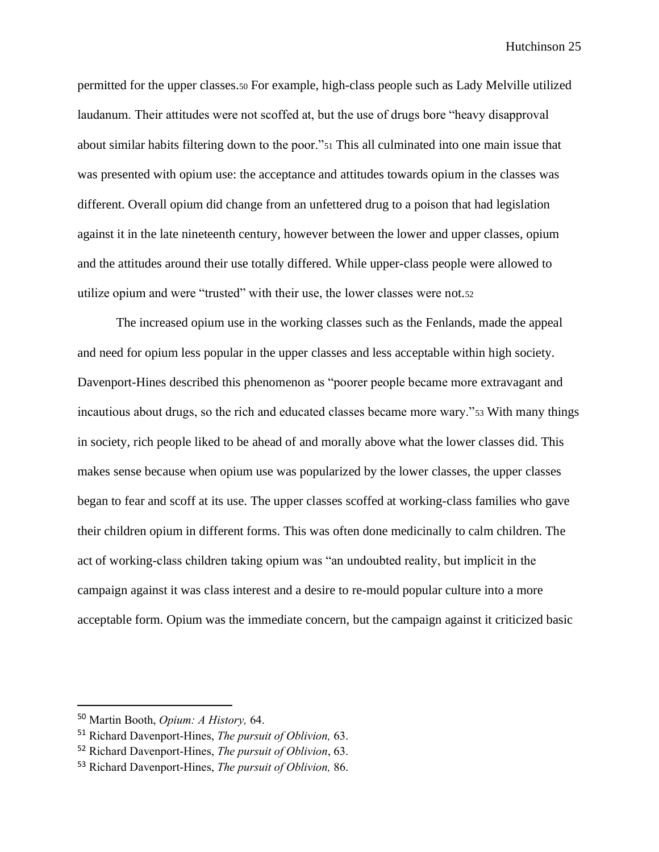permitted for the upper classes.<sup>50</sup> For example, high-class people such as Lady Melville utilized laudanum. Their attitudes were not scoffed at, but the use of drugs bore "heavy disapproval about similar habits filtering down to the poor."<sup>51</sup> This all culminated into one main issue that was presented with opium use: the acceptance and attitudes towards opium in the classes was different. Overall opium did change from an unfettered drug to a poison that had legislation against it in the late nineteenth century, however between the lower and upper classes, opium and the attitudes around their use totally differed. While upper-class people were allowed to utilize opium and were "trusted" with their use, the lower classes were not.<sup>52</sup>

The increased opium use in the working classes such as the Fenlands, made the appeal and need for opium less popular in the upper classes and less acceptable within high society. Davenport-Hines described this phenomenon as "poorer people became more extravagant and incautious about drugs, so the rich and educated classes became more wary."<sup>53</sup> With many things in society, rich people liked to be ahead of and morally above what the lower classes did. This makes sense because when opium use was popularized by the lower classes, the upper classes began to fear and scoff at its use. The upper classes scoffed at working-class families who gave their children opium in different forms. This was often done medicinally to calm children. The act of working-class children taking opium was "an undoubted reality, but implicit in the campaign against it was class interest and a desire to re-mould popular culture into a more acceptable form. Opium was the immediate concern, but the campaign against it criticized basic

<sup>50</sup> Martin Booth, *Opium: A History,* 64.

<sup>51</sup> Richard Davenport-Hines, *The pursuit of Oblivion,* 63.

<sup>52</sup> Richard Davenport-Hines, *The pursuit of Oblivion*, 63.

<sup>53</sup> Richard Davenport-Hines, *The pursuit of Oblivion,* 86.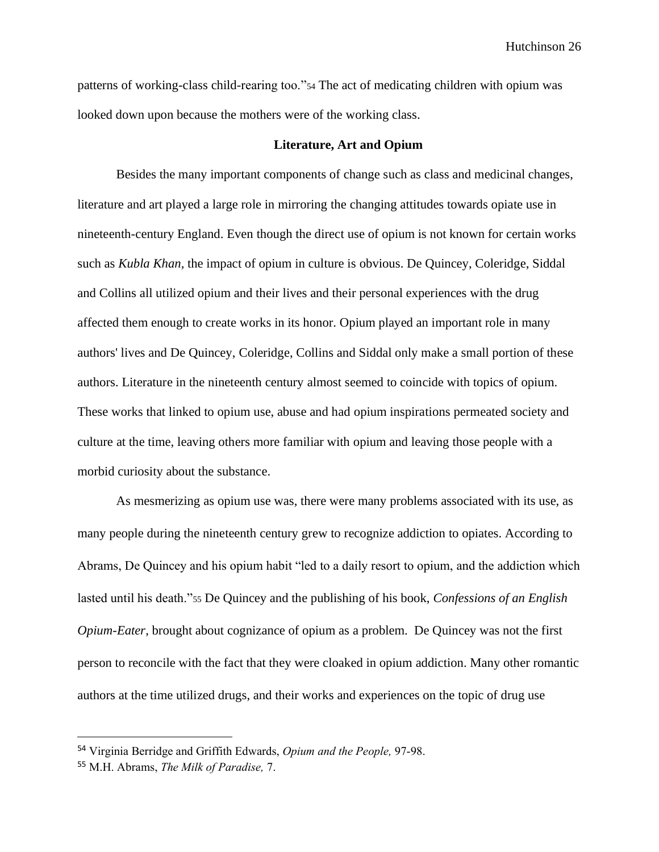patterns of working-class child-rearing too."<sup>54</sup> The act of medicating children with opium was looked down upon because the mothers were of the working class.

### **Literature, Art and Opium**

Besides the many important components of change such as class and medicinal changes, literature and art played a large role in mirroring the changing attitudes towards opiate use in nineteenth-century England. Even though the direct use of opium is not known for certain works such as *Kubla Khan,* the impact of opium in culture is obvious. De Quincey, Coleridge, Siddal and Collins all utilized opium and their lives and their personal experiences with the drug affected them enough to create works in its honor. Opium played an important role in many authors' lives and De Quincey, Coleridge, Collins and Siddal only make a small portion of these authors. Literature in the nineteenth century almost seemed to coincide with topics of opium. These works that linked to opium use, abuse and had opium inspirations permeated society and culture at the time, leaving others more familiar with opium and leaving those people with a morbid curiosity about the substance.

As mesmerizing as opium use was, there were many problems associated with its use, as many people during the nineteenth century grew to recognize addiction to opiates. According to Abrams, De Quincey and his opium habit "led to a daily resort to opium, and the addiction which lasted until his death."<sup>55</sup> De Quincey and the publishing of his book, *Confessions of an English Opium-Eater*, brought about cognizance of opium as a problem. De Quincey was not the first person to reconcile with the fact that they were cloaked in opium addiction. Many other romantic authors at the time utilized drugs, and their works and experiences on the topic of drug use

<sup>54</sup> Virginia Berridge and Griffith Edwards, *Opium and the People,* 97-98.

<sup>55</sup> M.H. Abrams, *The Milk of Paradise,* 7.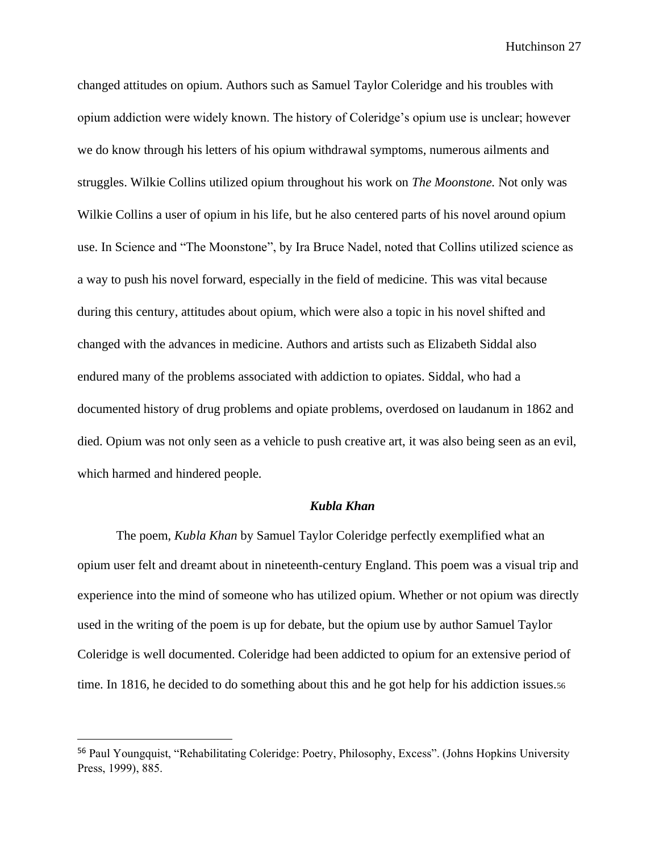changed attitudes on opium. Authors such as Samuel Taylor Coleridge and his troubles with opium addiction were widely known. The history of Coleridge's opium use is unclear; however we do know through his letters of his opium withdrawal symptoms, numerous ailments and struggles. Wilkie Collins utilized opium throughout his work on *The Moonstone.* Not only was Wilkie Collins a user of opium in his life, but he also centered parts of his novel around opium use. In Science and "The Moonstone", by Ira Bruce Nadel, noted that Collins utilized science as a way to push his novel forward, especially in the field of medicine. This was vital because during this century, attitudes about opium, which were also a topic in his novel shifted and changed with the advances in medicine. Authors and artists such as Elizabeth Siddal also endured many of the problems associated with addiction to opiates. Siddal, who had a documented history of drug problems and opiate problems, overdosed on laudanum in 1862 and died. Opium was not only seen as a vehicle to push creative art, it was also being seen as an evil, which harmed and hindered people.

#### *Kubla Khan*

The poem, *Kubla Khan* by Samuel Taylor Coleridge perfectly exemplified what an opium user felt and dreamt about in nineteenth-century England. This poem was a visual trip and experience into the mind of someone who has utilized opium. Whether or not opium was directly used in the writing of the poem is up for debate, but the opium use by author Samuel Taylor Coleridge is well documented. Coleridge had been addicted to opium for an extensive period of time. In 1816, he decided to do something about this and he got help for his addiction issues.<sup>56</sup>

<sup>56</sup> Paul Youngquist, "Rehabilitating Coleridge: Poetry, Philosophy, Excess". (Johns Hopkins University Press, 1999), 885.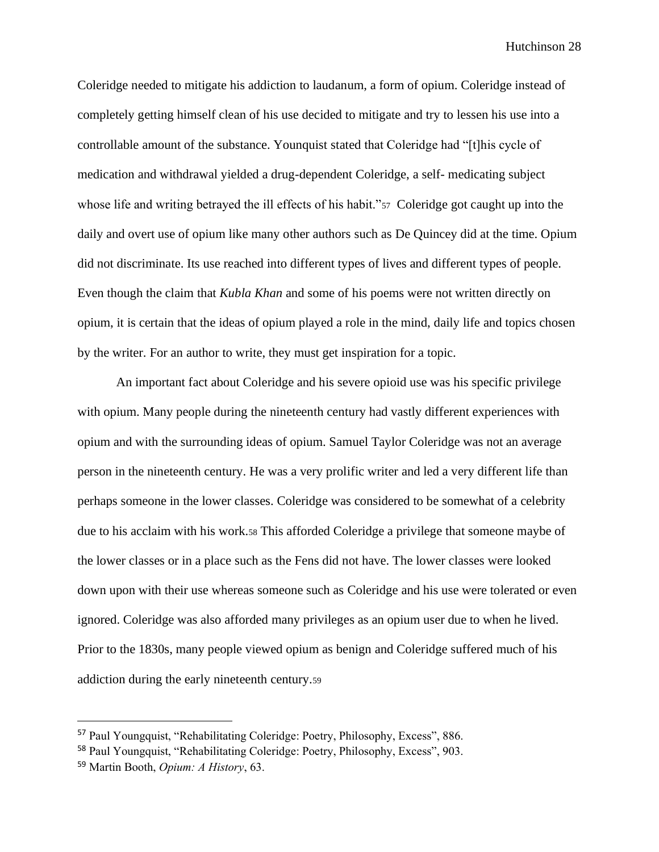Coleridge needed to mitigate his addiction to laudanum, a form of opium. Coleridge instead of completely getting himself clean of his use decided to mitigate and try to lessen his use into a controllable amount of the substance. Younquist stated that Coleridge had "[t]his cycle of medication and withdrawal yielded a drug-dependent Coleridge, a self- medicating subject whose life and writing betrayed the ill effects of his habit."<sup>57</sup> Coleridge got caught up into the daily and overt use of opium like many other authors such as De Quincey did at the time. Opium did not discriminate. Its use reached into different types of lives and different types of people. Even though the claim that *Kubla Khan* and some of his poems were not written directly on opium, it is certain that the ideas of opium played a role in the mind, daily life and topics chosen by the writer. For an author to write, they must get inspiration for a topic.

An important fact about Coleridge and his severe opioid use was his specific privilege with opium. Many people during the nineteenth century had vastly different experiences with opium and with the surrounding ideas of opium. Samuel Taylor Coleridge was not an average person in the nineteenth century. He was a very prolific writer and led a very different life than perhaps someone in the lower classes. Coleridge was considered to be somewhat of a celebrity due to his acclaim with his work.<sup>58</sup> This afforded Coleridge a privilege that someone maybe of the lower classes or in a place such as the Fens did not have. The lower classes were looked down upon with their use whereas someone such as Coleridge and his use were tolerated or even ignored. Coleridge was also afforded many privileges as an opium user due to when he lived. Prior to the 1830s, many people viewed opium as benign and Coleridge suffered much of his addiction during the early nineteenth century.<sup>59</sup>

<sup>57</sup> Paul Youngquist, "Rehabilitating Coleridge: Poetry, Philosophy, Excess", 886.

<sup>58</sup> Paul Youngquist, "Rehabilitating Coleridge: Poetry, Philosophy, Excess", 903.

<sup>59</sup> Martin Booth, *Opium: A History*, 63.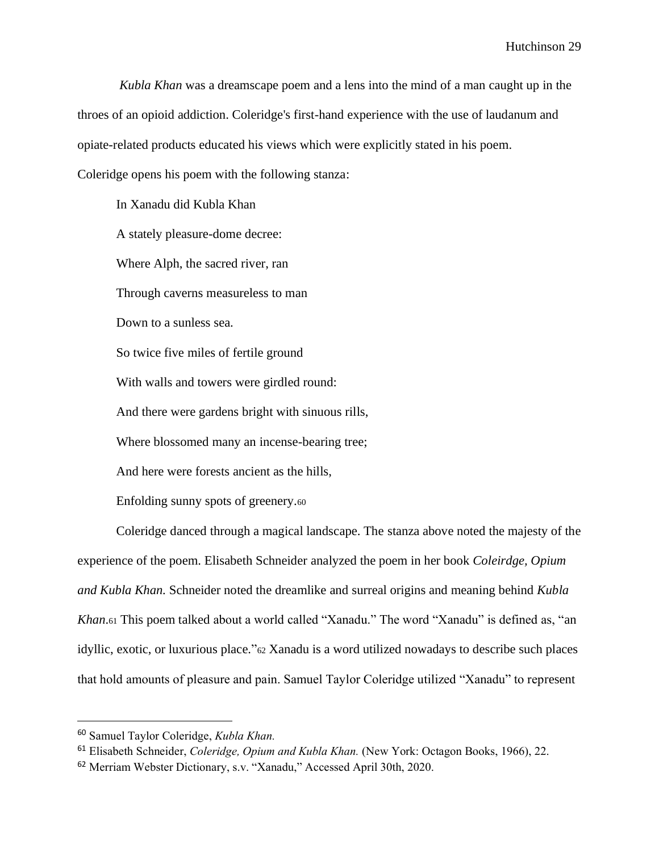*Kubla Khan* was a dreamscape poem and a lens into the mind of a man caught up in the throes of an opioid addiction. Coleridge's first-hand experience with the use of laudanum and opiate-related products educated his views which were explicitly stated in his poem. Coleridge opens his poem with the following stanza:

In Xanadu did Kubla Khan A stately pleasure-dome decree: Where Alph, the sacred river, ran Through caverns measureless to man Down to a sunless sea. So twice five miles of fertile ground With walls and towers were girdled round: And there were gardens bright with sinuous rills, Where blossomed many an incense-bearing tree; And here were forests ancient as the hills, Enfolding sunny spots of greenery.<sup>60</sup>

Coleridge danced through a magical landscape. The stanza above noted the majesty of the experience of the poem. Elisabeth Schneider analyzed the poem in her book *Coleirdge, Opium and Kubla Khan.* Schneider noted the dreamlike and surreal origins and meaning behind *Kubla Khan*.<sup>61</sup> This poem talked about a world called "Xanadu." The word "Xanadu" is defined as, "an idyllic, exotic, or luxurious place."<sup>62</sup> Xanadu is a word utilized nowadays to describe such places that hold amounts of pleasure and pain. Samuel Taylor Coleridge utilized "Xanadu" to represent

<sup>60</sup> Samuel Taylor Coleridge, *Kubla Khan.*

<sup>61</sup> Elisabeth Schneider, *Coleridge, Opium and Kubla Khan.* (New York: Octagon Books, 1966), 22.

<sup>62</sup> Merriam Webster Dictionary, s.v. "Xanadu," Accessed April 30th, 2020.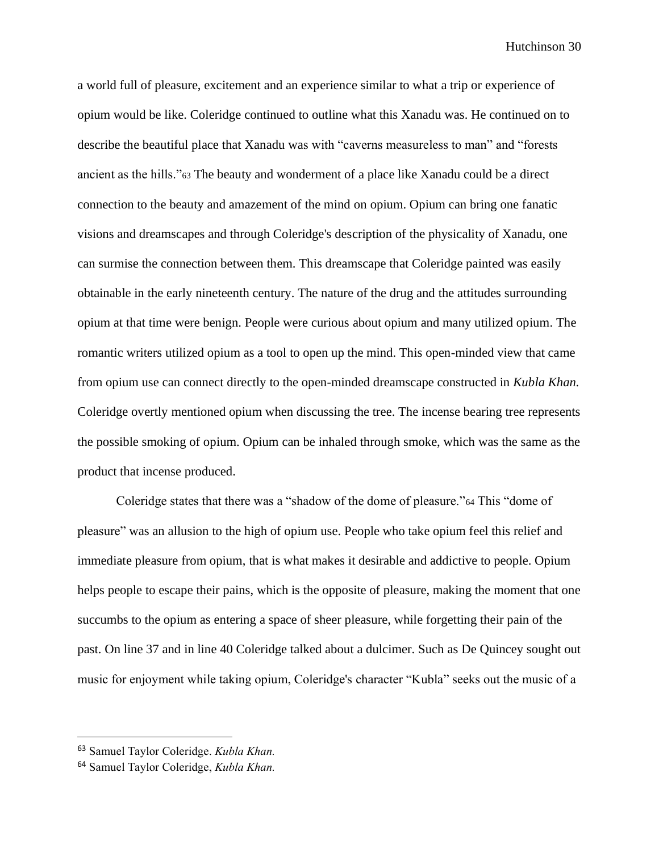a world full of pleasure, excitement and an experience similar to what a trip or experience of opium would be like. Coleridge continued to outline what this Xanadu was. He continued on to describe the beautiful place that Xanadu was with "caverns measureless to man" and "forests ancient as the hills."<sup>63</sup> The beauty and wonderment of a place like Xanadu could be a direct connection to the beauty and amazement of the mind on opium. Opium can bring one fanatic visions and dreamscapes and through Coleridge's description of the physicality of Xanadu, one can surmise the connection between them. This dreamscape that Coleridge painted was easily obtainable in the early nineteenth century. The nature of the drug and the attitudes surrounding opium at that time were benign. People were curious about opium and many utilized opium. The romantic writers utilized opium as a tool to open up the mind. This open-minded view that came from opium use can connect directly to the open-minded dreamscape constructed in *Kubla Khan.*  Coleridge overtly mentioned opium when discussing the tree. The incense bearing tree represents the possible smoking of opium. Opium can be inhaled through smoke, which was the same as the product that incense produced.

Coleridge states that there was a "shadow of the dome of pleasure."<sup>64</sup> This "dome of pleasure" was an allusion to the high of opium use. People who take opium feel this relief and immediate pleasure from opium, that is what makes it desirable and addictive to people. Opium helps people to escape their pains, which is the opposite of pleasure, making the moment that one succumbs to the opium as entering a space of sheer pleasure, while forgetting their pain of the past. On line 37 and in line 40 Coleridge talked about a dulcimer. Such as De Quincey sought out music for enjoyment while taking opium, Coleridge's character "Kubla" seeks out the music of a

<sup>63</sup> Samuel Taylor Coleridge. *Kubla Khan.*

<sup>64</sup> Samuel Taylor Coleridge, *Kubla Khan.*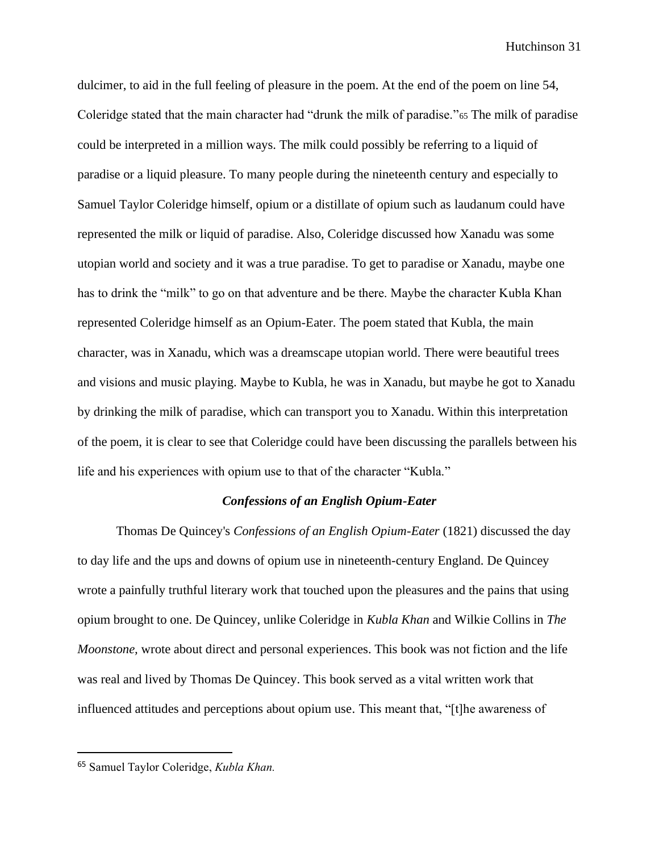dulcimer, to aid in the full feeling of pleasure in the poem. At the end of the poem on line 54, Coleridge stated that the main character had "drunk the milk of paradise."<sup>65</sup> The milk of paradise could be interpreted in a million ways. The milk could possibly be referring to a liquid of paradise or a liquid pleasure. To many people during the nineteenth century and especially to Samuel Taylor Coleridge himself, opium or a distillate of opium such as laudanum could have represented the milk or liquid of paradise. Also, Coleridge discussed how Xanadu was some utopian world and society and it was a true paradise. To get to paradise or Xanadu, maybe one has to drink the "milk" to go on that adventure and be there. Maybe the character Kubla Khan represented Coleridge himself as an Opium-Eater. The poem stated that Kubla, the main character, was in Xanadu, which was a dreamscape utopian world. There were beautiful trees and visions and music playing. Maybe to Kubla, he was in Xanadu, but maybe he got to Xanadu by drinking the milk of paradise, which can transport you to Xanadu. Within this interpretation of the poem, it is clear to see that Coleridge could have been discussing the parallels between his life and his experiences with opium use to that of the character "Kubla."

## *Confessions of an English Opium-Eater*

Thomas De Quincey's *Confessions of an English Opium-Eater* (1821) discussed the day to day life and the ups and downs of opium use in nineteenth-century England. De Quincey wrote a painfully truthful literary work that touched upon the pleasures and the pains that using opium brought to one. De Quincey, unlike Coleridge in *Kubla Khan* and Wilkie Collins in *The Moonstone,* wrote about direct and personal experiences. This book was not fiction and the life was real and lived by Thomas De Quincey. This book served as a vital written work that influenced attitudes and perceptions about opium use. This meant that, "[t]he awareness of

<sup>65</sup> Samuel Taylor Coleridge, *Kubla Khan.*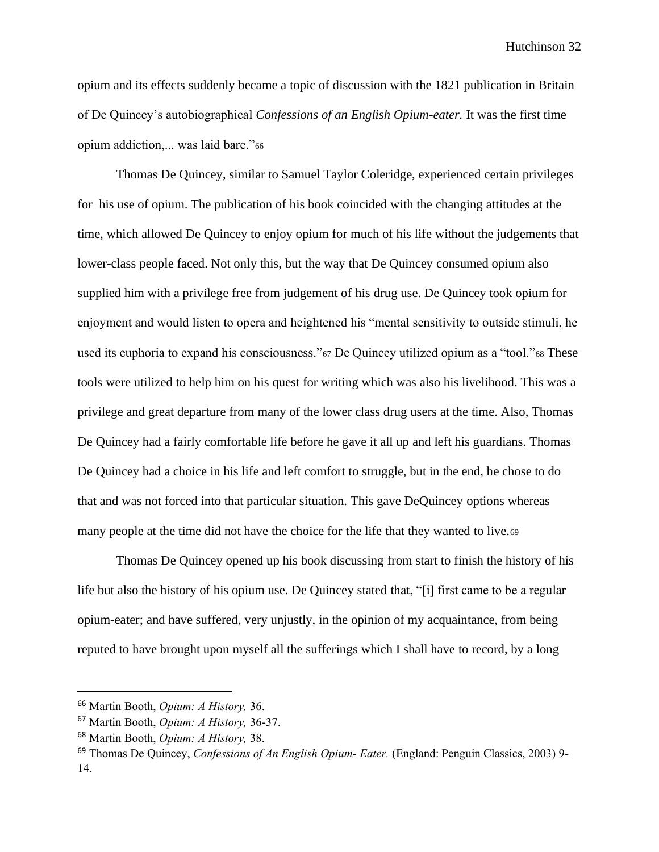opium and its effects suddenly became a topic of discussion with the 1821 publication in Britain of De Quincey's autobiographical *Confessions of an English Opium-eater.* It was the first time opium addiction,... was laid bare."<sup>66</sup>

Thomas De Quincey, similar to Samuel Taylor Coleridge, experienced certain privileges for his use of opium. The publication of his book coincided with the changing attitudes at the time, which allowed De Quincey to enjoy opium for much of his life without the judgements that lower-class people faced. Not only this, but the way that De Quincey consumed opium also supplied him with a privilege free from judgement of his drug use. De Quincey took opium for enjoyment and would listen to opera and heightened his "mental sensitivity to outside stimuli, he used its euphoria to expand his consciousness."<sup>67</sup> De Quincey utilized opium as a "tool."<sup>68</sup> These tools were utilized to help him on his quest for writing which was also his livelihood. This was a privilege and great departure from many of the lower class drug users at the time. Also, Thomas De Quincey had a fairly comfortable life before he gave it all up and left his guardians. Thomas De Quincey had a choice in his life and left comfort to struggle, but in the end, he chose to do that and was not forced into that particular situation. This gave DeQuincey options whereas many people at the time did not have the choice for the life that they wanted to live.<sup>69</sup>

Thomas De Quincey opened up his book discussing from start to finish the history of his life but also the history of his opium use. De Quincey stated that, "[i] first came to be a regular opium-eater; and have suffered, very unjustly, in the opinion of my acquaintance, from being reputed to have brought upon myself all the sufferings which I shall have to record, by a long

<sup>66</sup> Martin Booth, *Opium: A History,* 36.

<sup>67</sup> Martin Booth, *Opium: A History,* 36-37.

<sup>68</sup> Martin Booth, *Opium: A History,* 38.

<sup>69</sup> Thomas De Quincey, *Confessions of An English Opium- Eater.* (England: Penguin Classics, 2003) 9- 14.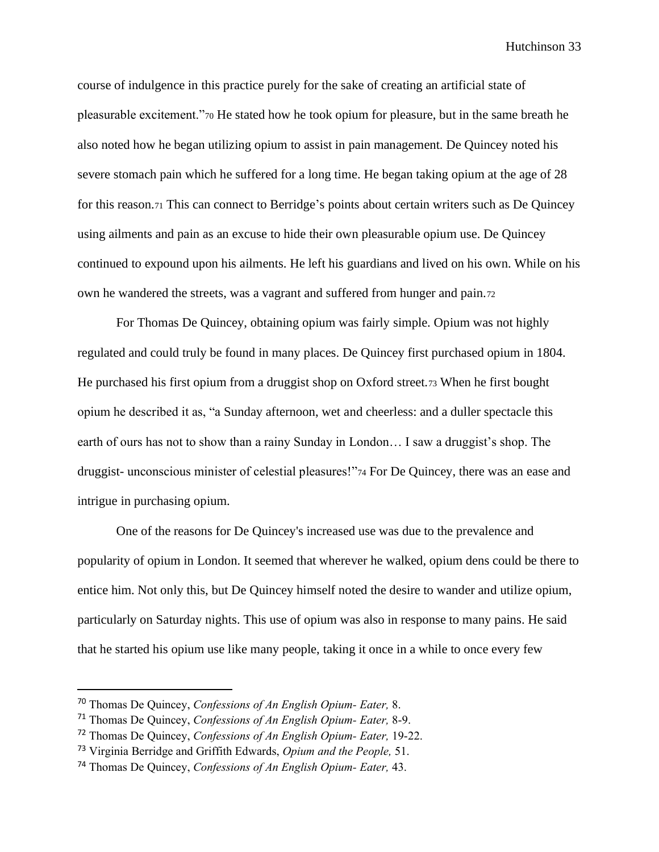course of indulgence in this practice purely for the sake of creating an artificial state of pleasurable excitement."<sup>70</sup> He stated how he took opium for pleasure, but in the same breath he also noted how he began utilizing opium to assist in pain management. De Quincey noted his severe stomach pain which he suffered for a long time. He began taking opium at the age of 28 for this reason.<sup>71</sup> This can connect to Berridge's points about certain writers such as De Quincey using ailments and pain as an excuse to hide their own pleasurable opium use. De Quincey continued to expound upon his ailments. He left his guardians and lived on his own. While on his own he wandered the streets, was a vagrant and suffered from hunger and pain.<sup>72</sup>

For Thomas De Quincey, obtaining opium was fairly simple. Opium was not highly regulated and could truly be found in many places. De Quincey first purchased opium in 1804. He purchased his first opium from a druggist shop on Oxford street.<sup>73</sup> When he first bought opium he described it as, "a Sunday afternoon, wet and cheerless: and a duller spectacle this earth of ours has not to show than a rainy Sunday in London… I saw a druggist's shop. The druggist- unconscious minister of celestial pleasures!"<sup>74</sup> For De Quincey, there was an ease and intrigue in purchasing opium.

One of the reasons for De Quincey's increased use was due to the prevalence and popularity of opium in London. It seemed that wherever he walked, opium dens could be there to entice him. Not only this, but De Quincey himself noted the desire to wander and utilize opium, particularly on Saturday nights. This use of opium was also in response to many pains. He said that he started his opium use like many people, taking it once in a while to once every few

<sup>70</sup> Thomas De Quincey, *Confessions of An English Opium- Eater,* 8.

<sup>71</sup> Thomas De Quincey, *Confessions of An English Opium- Eater,* 8-9.

<sup>72</sup> Thomas De Quincey, *Confessions of An English Opium- Eater,* 19-22.

<sup>73</sup> Virginia Berridge and Griffith Edwards, *Opium and the People,* 51.

<sup>74</sup> Thomas De Quincey, *Confessions of An English Opium- Eater,* 43.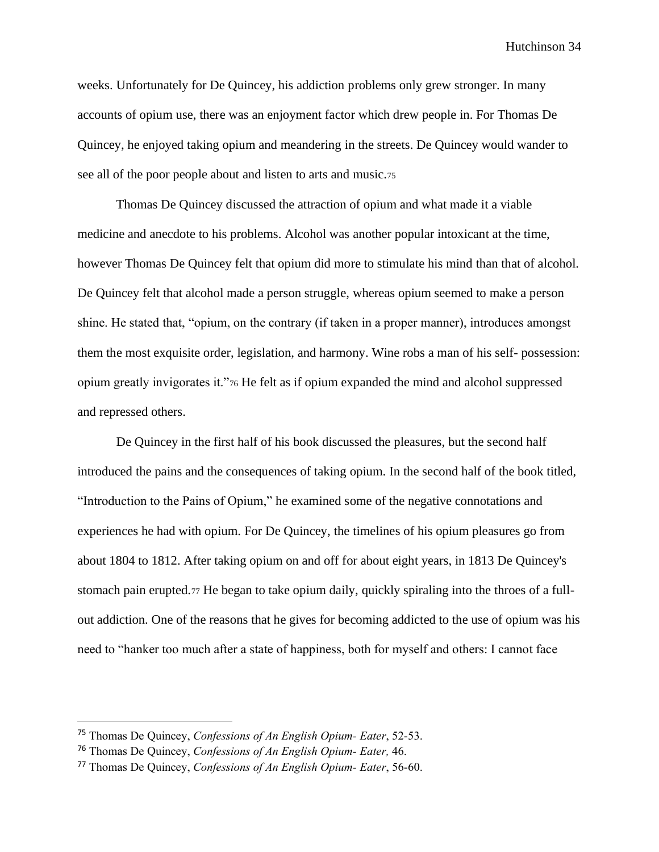weeks. Unfortunately for De Quincey, his addiction problems only grew stronger. In many accounts of opium use, there was an enjoyment factor which drew people in. For Thomas De Quincey, he enjoyed taking opium and meandering in the streets. De Quincey would wander to see all of the poor people about and listen to arts and music.<sup>75</sup>

Thomas De Quincey discussed the attraction of opium and what made it a viable medicine and anecdote to his problems. Alcohol was another popular intoxicant at the time, however Thomas De Quincey felt that opium did more to stimulate his mind than that of alcohol. De Quincey felt that alcohol made a person struggle, whereas opium seemed to make a person shine. He stated that, "opium, on the contrary (if taken in a proper manner), introduces amongst them the most exquisite order, legislation, and harmony. Wine robs a man of his self- possession: opium greatly invigorates it."<sup>76</sup> He felt as if opium expanded the mind and alcohol suppressed and repressed others.

De Quincey in the first half of his book discussed the pleasures, but the second half introduced the pains and the consequences of taking opium. In the second half of the book titled, "Introduction to the Pains of Opium," he examined some of the negative connotations and experiences he had with opium. For De Quincey, the timelines of his opium pleasures go from about 1804 to 1812. After taking opium on and off for about eight years, in 1813 De Quincey's stomach pain erupted.<sup>77</sup> He began to take opium daily, quickly spiraling into the throes of a fullout addiction. One of the reasons that he gives for becoming addicted to the use of opium was his need to "hanker too much after a state of happiness, both for myself and others: I cannot face

<sup>75</sup> Thomas De Quincey, *Confessions of An English Opium- Eater*, 52-53.

<sup>76</sup> Thomas De Quincey, *Confessions of An English Opium- Eater,* 46.

<sup>77</sup> Thomas De Quincey, *Confessions of An English Opium- Eater*, 56-60.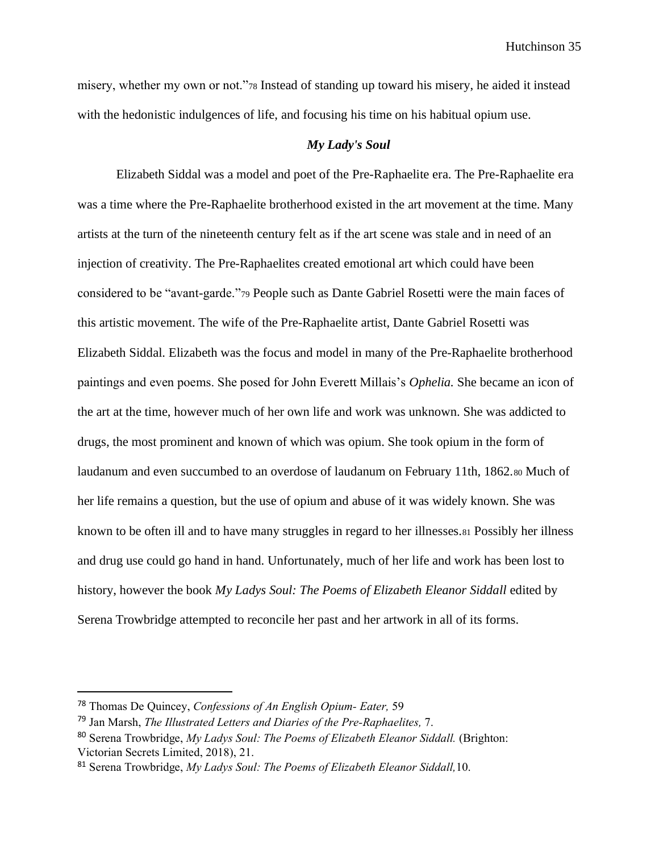misery, whether my own or not."<sup>78</sup> Instead of standing up toward his misery, he aided it instead with the hedonistic indulgences of life, and focusing his time on his habitual opium use.

## *My Lady's Soul*

Elizabeth Siddal was a model and poet of the Pre-Raphaelite era. The Pre-Raphaelite era was a time where the Pre-Raphaelite brotherhood existed in the art movement at the time. Many artists at the turn of the nineteenth century felt as if the art scene was stale and in need of an injection of creativity. The Pre-Raphaelites created emotional art which could have been considered to be "avant-garde."<sup>79</sup> People such as Dante Gabriel Rosetti were the main faces of this artistic movement. The wife of the Pre-Raphaelite artist, Dante Gabriel Rosetti was Elizabeth Siddal. Elizabeth was the focus and model in many of the Pre-Raphaelite brotherhood paintings and even poems. She posed for John Everett Millais's *Ophelia.* She became an icon of the art at the time, however much of her own life and work was unknown. She was addicted to drugs, the most prominent and known of which was opium. She took opium in the form of laudanum and even succumbed to an overdose of laudanum on February 11th, 1862.<sup>80</sup> Much of her life remains a question, but the use of opium and abuse of it was widely known. She was known to be often ill and to have many struggles in regard to her illnesses.<sup>81</sup> Possibly her illness and drug use could go hand in hand. Unfortunately, much of her life and work has been lost to history, however the book *My Ladys Soul: The Poems of Elizabeth Eleanor Siddall* edited by Serena Trowbridge attempted to reconcile her past and her artwork in all of its forms.

<sup>78</sup> Thomas De Quincey, *Confessions of An English Opium- Eater,* 59

<sup>79</sup> Jan Marsh, *The Illustrated Letters and Diaries of the Pre-Raphaelites,* 7.

<sup>80</sup> Serena Trowbridge, *My Ladys Soul: The Poems of Elizabeth Eleanor Siddall.* (Brighton: Victorian Secrets Limited, 2018), 21.

<sup>81</sup> Serena Trowbridge, *My Ladys Soul: The Poems of Elizabeth Eleanor Siddall,*10.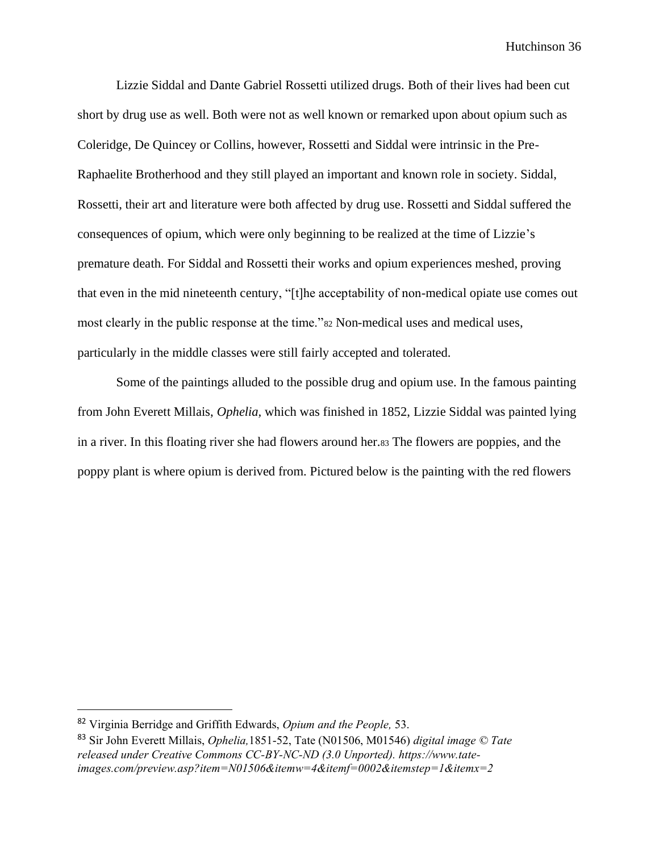Lizzie Siddal and Dante Gabriel Rossetti utilized drugs. Both of their lives had been cut short by drug use as well. Both were not as well known or remarked upon about opium such as Coleridge, De Quincey or Collins, however, Rossetti and Siddal were intrinsic in the Pre-Raphaelite Brotherhood and they still played an important and known role in society. Siddal, Rossetti, their art and literature were both affected by drug use. Rossetti and Siddal suffered the consequences of opium, which were only beginning to be realized at the time of Lizzie's premature death. For Siddal and Rossetti their works and opium experiences meshed, proving that even in the mid nineteenth century, "[t]he acceptability of non-medical opiate use comes out most clearly in the public response at the time."<sup>82</sup> Non-medical uses and medical uses, particularly in the middle classes were still fairly accepted and tolerated.

Some of the paintings alluded to the possible drug and opium use. In the famous painting from John Everett Millais, *Ophelia,* which was finished in 1852, Lizzie Siddal was painted lying in a river. In this floating river she had flowers around her.<sup>83</sup> The flowers are poppies, and the poppy plant is where opium is derived from. Pictured below is the painting with the red flowers

<sup>82</sup> Virginia Berridge and Griffith Edwards, *Opium and the People,* 53.

<sup>83</sup> Sir John Everett Millais, *Ophelia,*1851-52, Tate (N01506, M01546) *digital image © Tate released under Creative Commons CC-BY-NC-ND (3.0 Unported). [https://www.tate](https://www.tate-images.com/preview.asp?item=N01506&itemw=4&itemf=0002&itemst)[images.com/preview.asp?item=N01506&itemw=4&itemf=0002&itemste](https://www.tate-images.com/preview.asp?item=N01506&itemw=4&itemf=0002&itemst)p=1&itemx=2*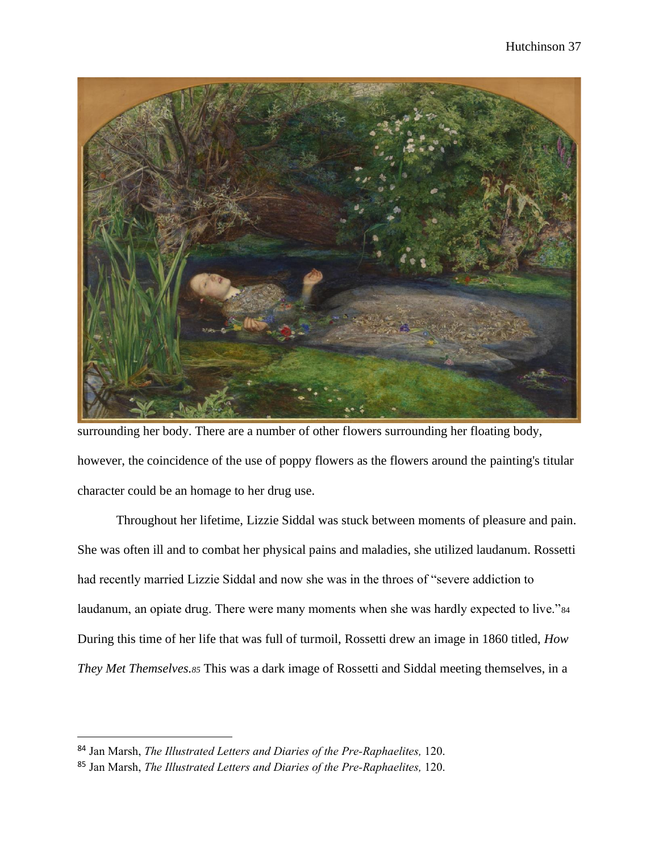

surrounding her body. There are a number of other flowers surrounding her floating body, however, the coincidence of the use of poppy flowers as the flowers around the painting's titular character could be an homage to her drug use.

Throughout her lifetime, Lizzie Siddal was stuck between moments of pleasure and pain. She was often ill and to combat her physical pains and maladies, she utilized laudanum. Rossetti had recently married Lizzie Siddal and now she was in the throes of "severe addiction to laudanum, an opiate drug. There were many moments when she was hardly expected to live."<sup>84</sup> During this time of her life that was full of turmoil, Rossetti drew an image in 1860 titled, *How They Met Themselves.<sup>85</sup>* This was a dark image of Rossetti and Siddal meeting themselves, in a

<sup>84</sup> Jan Marsh, *The Illustrated Letters and Diaries of the Pre-Raphaelites,* 120.

<sup>85</sup> Jan Marsh, *The Illustrated Letters and Diaries of the Pre-Raphaelites,* 120.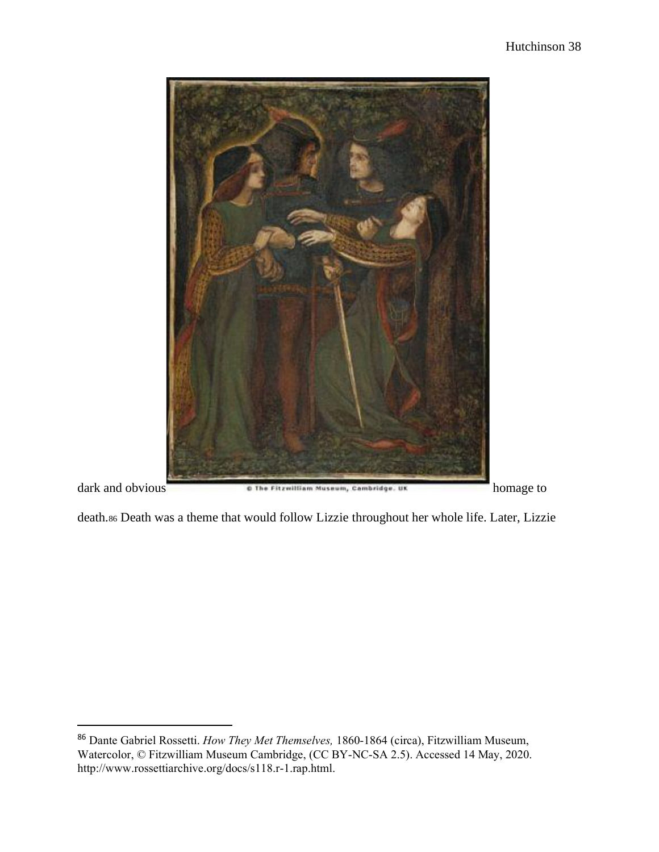

death.<sup>86</sup> Death was a theme that would follow Lizzie throughout her whole life. Later, Lizzie

<sup>86</sup> Dante Gabriel Rossetti. *How They Met Themselves,* 1860-1864 (circa), Fitzwilliam Museum, Watercolor, © Fitzwilliam Museum Cambridge, (CC BY-NC-SA 2.5). Accessed 14 May, 2020. [http://www.rossettiarchive.org/docs/s118.r-1.rap.html.](http://www.rossettiarchive.org/docs/s118.r-1.rap.html)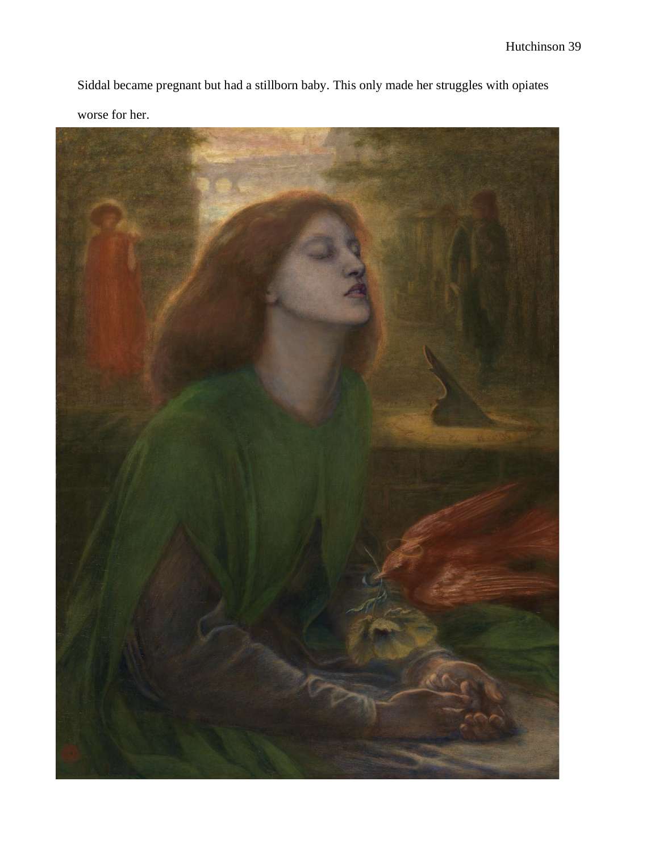Siddal became pregnant but had a stillborn baby. This only made her struggles with opiates worse for her.

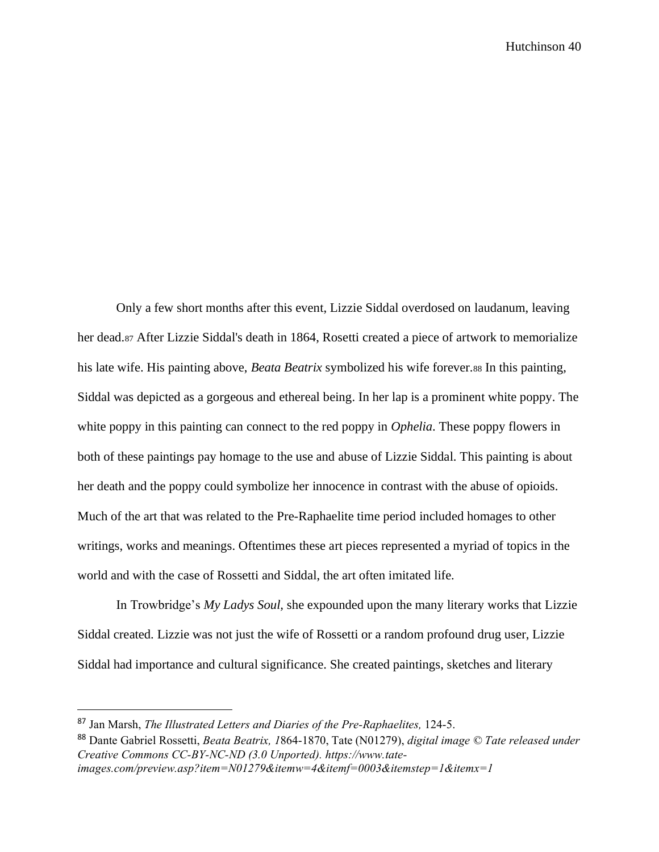Only a few short months after this event, Lizzie Siddal overdosed on laudanum, leaving her dead.<sup>87</sup> After Lizzie Siddal's death in 1864, Rosetti created a piece of artwork to memorialize his late wife. His painting above, *Beata Beatrix* symbolized his wife forever.<sup>88</sup> In this painting, Siddal was depicted as a gorgeous and ethereal being. In her lap is a prominent white poppy. The white poppy in this painting can connect to the red poppy in *Ophelia*. These poppy flowers in both of these paintings pay homage to the use and abuse of Lizzie Siddal. This painting is about her death and the poppy could symbolize her innocence in contrast with the abuse of opioids. Much of the art that was related to the Pre-Raphaelite time period included homages to other writings, works and meanings. Oftentimes these art pieces represented a myriad of topics in the world and with the case of Rossetti and Siddal, the art often imitated life.

In Trowbridge's *My Ladys Soul,* she expounded upon the many literary works that Lizzie Siddal created. Lizzie was not just the wife of Rossetti or a random profound drug user, Lizzie Siddal had importance and cultural significance. She created paintings, sketches and literary

<sup>87</sup> Jan Marsh, *The Illustrated Letters and Diaries of the Pre-Raphaelites,* 124-5.

<sup>88</sup> Dante Gabriel Rossetti, *Beata Beatrix, 1*864-1870, Tate (N01279), *digital image © Tate released under Creative Commons CC-BY-NC-ND (3.0 Unported). [https://www.tate](https://www.tate-images.com/preview.asp?item=N01279&itemw=4&itemf=0003&itemst)[images.com/preview.asp?item=N01279&itemw=4&itemf=0003&itemste](https://www.tate-images.com/preview.asp?item=N01279&itemw=4&itemf=0003&itemst)p=1&itemx=1*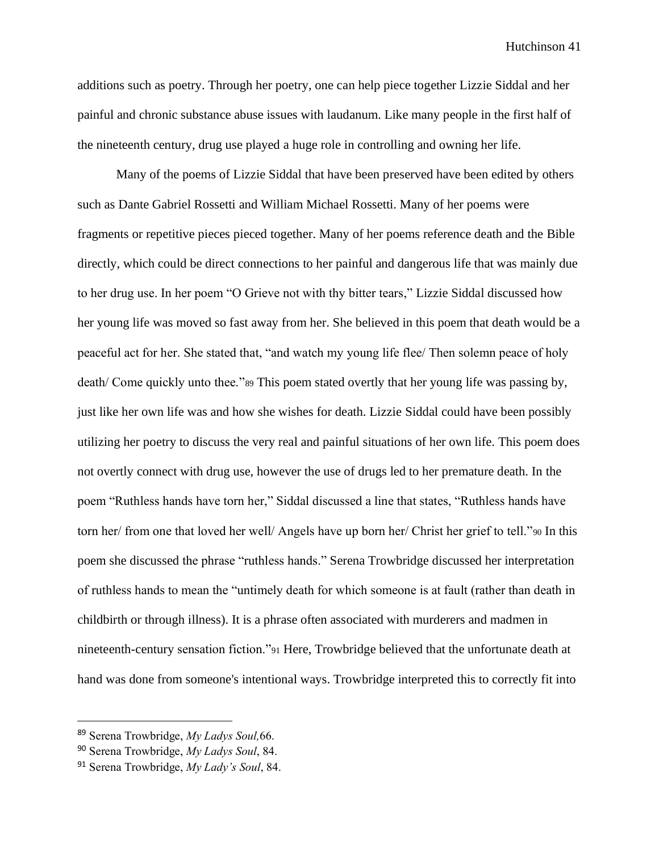additions such as poetry. Through her poetry, one can help piece together Lizzie Siddal and her painful and chronic substance abuse issues with laudanum. Like many people in the first half of the nineteenth century, drug use played a huge role in controlling and owning her life.

Many of the poems of Lizzie Siddal that have been preserved have been edited by others such as Dante Gabriel Rossetti and William Michael Rossetti. Many of her poems were fragments or repetitive pieces pieced together. Many of her poems reference death and the Bible directly, which could be direct connections to her painful and dangerous life that was mainly due to her drug use. In her poem "O Grieve not with thy bitter tears," Lizzie Siddal discussed how her young life was moved so fast away from her. She believed in this poem that death would be a peaceful act for her. She stated that, "and watch my young life flee/ Then solemn peace of holy death/ Come quickly unto thee."<sup>89</sup> This poem stated overtly that her young life was passing by, just like her own life was and how she wishes for death. Lizzie Siddal could have been possibly utilizing her poetry to discuss the very real and painful situations of her own life. This poem does not overtly connect with drug use, however the use of drugs led to her premature death. In the poem "Ruthless hands have torn her," Siddal discussed a line that states, "Ruthless hands have torn her/ from one that loved her well/ Angels have up born her/ Christ her grief to tell."90 In this poem she discussed the phrase "ruthless hands." Serena Trowbridge discussed her interpretation of ruthless hands to mean the "untimely death for which someone is at fault (rather than death in childbirth or through illness). It is a phrase often associated with murderers and madmen in nineteenth-century sensation fiction."<sup>91</sup> Here, Trowbridge believed that the unfortunate death at hand was done from someone's intentional ways. Trowbridge interpreted this to correctly fit into

<sup>89</sup> Serena Trowbridge, *My Ladys Soul,*66.

<sup>90</sup> Serena Trowbridge, *My Ladys Soul*, 84.

<sup>91</sup> Serena Trowbridge, *My Lady's Soul*, 84.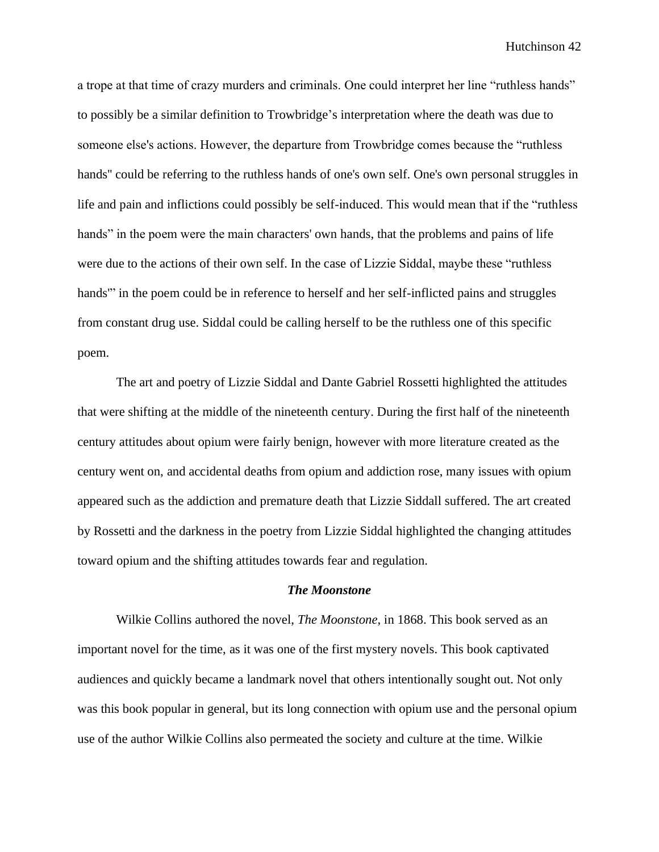a trope at that time of crazy murders and criminals. One could interpret her line "ruthless hands" to possibly be a similar definition to Trowbridge's interpretation where the death was due to someone else's actions. However, the departure from Trowbridge comes because the "ruthless hands'' could be referring to the ruthless hands of one's own self. One's own personal struggles in life and pain and inflictions could possibly be self-induced. This would mean that if the "ruthless hands" in the poem were the main characters' own hands, that the problems and pains of life were due to the actions of their own self. In the case of Lizzie Siddal, maybe these "ruthless hands'" in the poem could be in reference to herself and her self-inflicted pains and struggles from constant drug use. Siddal could be calling herself to be the ruthless one of this specific poem.

The art and poetry of Lizzie Siddal and Dante Gabriel Rossetti highlighted the attitudes that were shifting at the middle of the nineteenth century. During the first half of the nineteenth century attitudes about opium were fairly benign, however with more literature created as the century went on, and accidental deaths from opium and addiction rose, many issues with opium appeared such as the addiction and premature death that Lizzie Siddall suffered. The art created by Rossetti and the darkness in the poetry from Lizzie Siddal highlighted the changing attitudes toward opium and the shifting attitudes towards fear and regulation.

#### *The Moonstone*

Wilkie Collins authored the novel, *The Moonstone*, in 1868. This book served as an important novel for the time, as it was one of the first mystery novels. This book captivated audiences and quickly became a landmark novel that others intentionally sought out. Not only was this book popular in general, but its long connection with opium use and the personal opium use of the author Wilkie Collins also permeated the society and culture at the time. Wilkie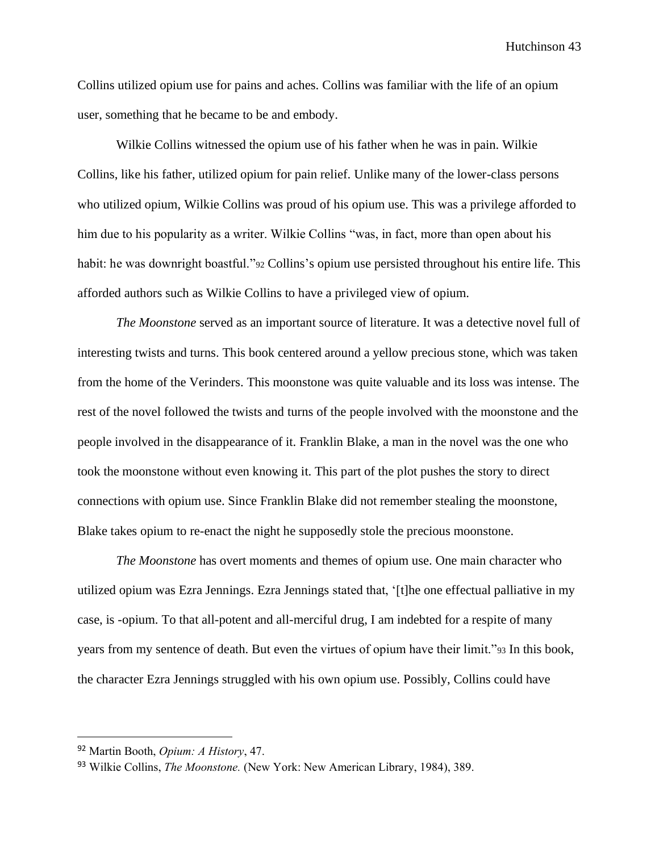Collins utilized opium use for pains and aches. Collins was familiar with the life of an opium user, something that he became to be and embody.

Wilkie Collins witnessed the opium use of his father when he was in pain. Wilkie Collins, like his father, utilized opium for pain relief. Unlike many of the lower-class persons who utilized opium, Wilkie Collins was proud of his opium use. This was a privilege afforded to him due to his popularity as a writer. Wilkie Collins "was, in fact, more than open about his habit: he was downright boastful."<sup>92</sup> Collins's opium use persisted throughout his entire life. This afforded authors such as Wilkie Collins to have a privileged view of opium.

*The Moonstone* served as an important source of literature. It was a detective novel full of interesting twists and turns. This book centered around a yellow precious stone, which was taken from the home of the Verinders. This moonstone was quite valuable and its loss was intense. The rest of the novel followed the twists and turns of the people involved with the moonstone and the people involved in the disappearance of it. Franklin Blake, a man in the novel was the one who took the moonstone without even knowing it. This part of the plot pushes the story to direct connections with opium use. Since Franklin Blake did not remember stealing the moonstone, Blake takes opium to re-enact the night he supposedly stole the precious moonstone.

*The Moonstone* has overt moments and themes of opium use. One main character who utilized opium was Ezra Jennings. Ezra Jennings stated that, '[t]he one effectual palliative in my case, is -opium. To that all-potent and all-merciful drug, I am indebted for a respite of many years from my sentence of death. But even the virtues of opium have their limit."<sup>93</sup> In this book, the character Ezra Jennings struggled with his own opium use. Possibly, Collins could have

<sup>92</sup> Martin Booth, *Opium: A History*, 47.

<sup>93</sup> Wilkie Collins, *The Moonstone.* (New York: New American Library, 1984), 389.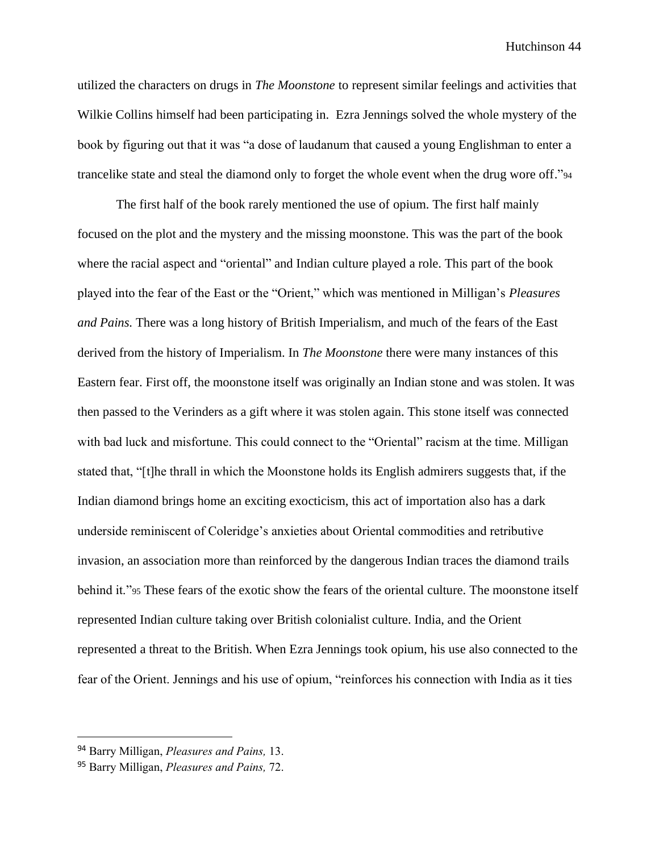utilized the characters on drugs in *The Moonstone* to represent similar feelings and activities that Wilkie Collins himself had been participating in. Ezra Jennings solved the whole mystery of the book by figuring out that it was "a dose of laudanum that caused a young Englishman to enter a trancelike state and steal the diamond only to forget the whole event when the drug wore off."<sup>94</sup>

The first half of the book rarely mentioned the use of opium. The first half mainly focused on the plot and the mystery and the missing moonstone. This was the part of the book where the racial aspect and "oriental" and Indian culture played a role. This part of the book played into the fear of the East or the "Orient," which was mentioned in Milligan's *Pleasures and Pains.* There was a long history of British Imperialism, and much of the fears of the East derived from the history of Imperialism. In *The Moonstone* there were many instances of this Eastern fear. First off, the moonstone itself was originally an Indian stone and was stolen. It was then passed to the Verinders as a gift where it was stolen again. This stone itself was connected with bad luck and misfortune. This could connect to the "Oriental" racism at the time. Milligan stated that, "[t]he thrall in which the Moonstone holds its English admirers suggests that, if the Indian diamond brings home an exciting exocticism, this act of importation also has a dark underside reminiscent of Coleridge's anxieties about Oriental commodities and retributive invasion, an association more than reinforced by the dangerous Indian traces the diamond trails behind it."<sup>95</sup> These fears of the exotic show the fears of the oriental culture. The moonstone itself represented Indian culture taking over British colonialist culture. India, and the Orient represented a threat to the British. When Ezra Jennings took opium, his use also connected to the fear of the Orient. Jennings and his use of opium, "reinforces his connection with India as it ties

<sup>94</sup> Barry Milligan, *Pleasures and Pains,* 13.

<sup>95</sup> Barry Milligan, *Pleasures and Pains,* 72.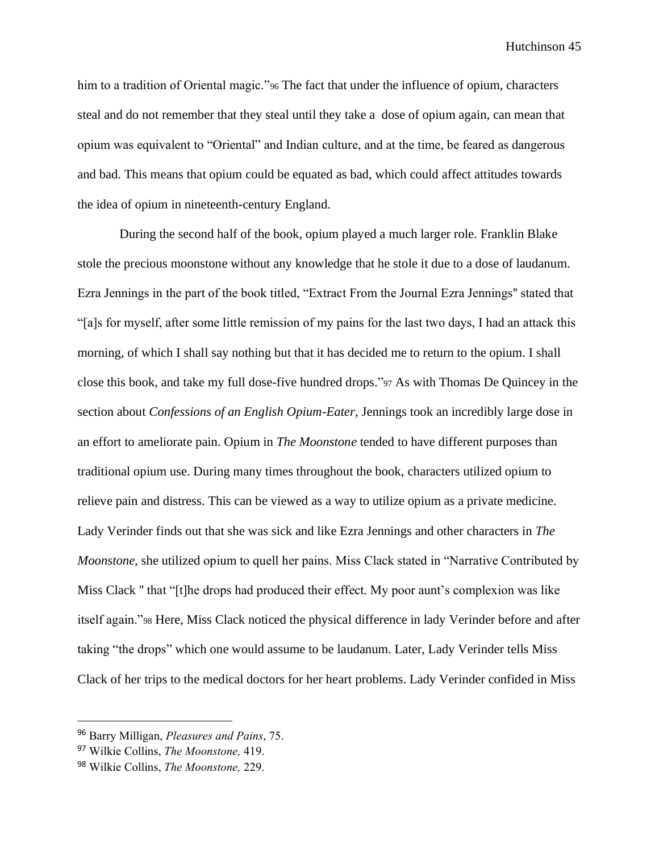him to a tradition of Oriental magic."<sup>96</sup> The fact that under the influence of opium, characters steal and do not remember that they steal until they take a dose of opium again, can mean that opium was equivalent to "Oriental" and Indian culture, and at the time, be feared as dangerous and bad. This means that opium could be equated as bad, which could affect attitudes towards the idea of opium in nineteenth-century England.

During the second half of the book, opium played a much larger role. Franklin Blake stole the precious moonstone without any knowledge that he stole it due to a dose of laudanum. Ezra Jennings in the part of the book titled, "Extract From the Journal Ezra Jennings'' stated that "[a]s for myself, after some little remission of my pains for the last two days, I had an attack this morning, of which I shall say nothing but that it has decided me to return to the opium. I shall close this book, and take my full dose-five hundred drops."<sup>97</sup> As with Thomas De Quincey in the section about *Confessions of an English Opium-Eater,* Jennings took an incredibly large dose in an effort to ameliorate pain. Opium in *The Moonstone* tended to have different purposes than traditional opium use. During many times throughout the book, characters utilized opium to relieve pain and distress. This can be viewed as a way to utilize opium as a private medicine. Lady Verinder finds out that she was sick and like Ezra Jennings and other characters in *The Moonstone,* she utilized opium to quell her pains. Miss Clack stated in "Narrative Contributed by Miss Clack '' that "[t]he drops had produced their effect. My poor aunt's complexion was like itself again."<sup>98</sup> Here, Miss Clack noticed the physical difference in lady Verinder before and after taking "the drops" which one would assume to be laudanum. Later, Lady Verinder tells Miss Clack of her trips to the medical doctors for her heart problems. Lady Verinder confided in Miss

<sup>96</sup> Barry Milligan, *Pleasures and Pains*, 75.

<sup>97</sup> Wilkie Collins, *The Moonstone,* 419.

<sup>98</sup> Wilkie Collins, *The Moonstone,* 229.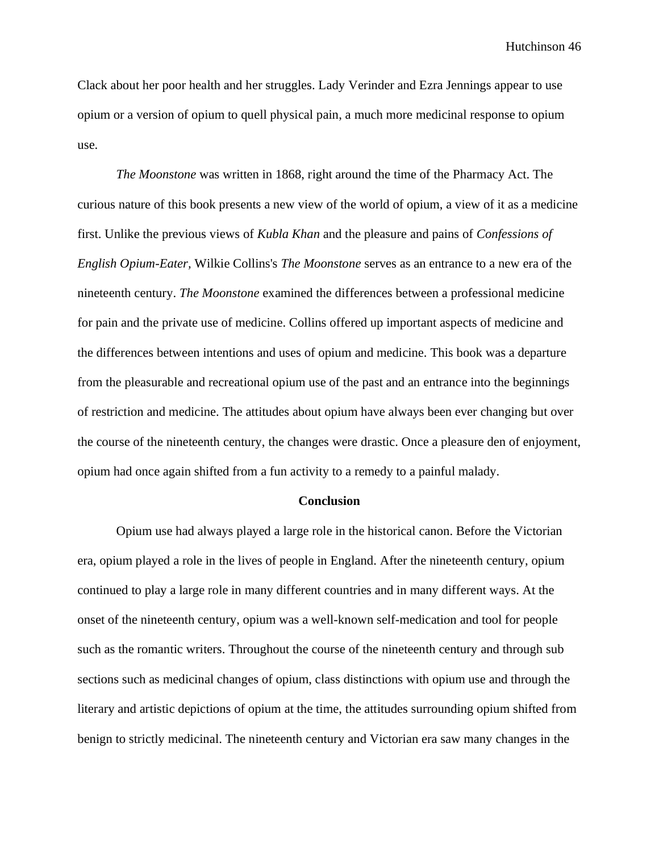Clack about her poor health and her struggles. Lady Verinder and Ezra Jennings appear to use opium or a version of opium to quell physical pain, a much more medicinal response to opium use.

*The Moonstone* was written in 1868, right around the time of the Pharmacy Act. The curious nature of this book presents a new view of the world of opium, a view of it as a medicine first. Unlike the previous views of *Kubla Khan* and the pleasure and pains of *Confessions of English Opium-Eater,* Wilkie Collins's *The Moonstone* serves as an entrance to a new era of the nineteenth century. *The Moonstone* examined the differences between a professional medicine for pain and the private use of medicine. Collins offered up important aspects of medicine and the differences between intentions and uses of opium and medicine. This book was a departure from the pleasurable and recreational opium use of the past and an entrance into the beginnings of restriction and medicine. The attitudes about opium have always been ever changing but over the course of the nineteenth century, the changes were drastic. Once a pleasure den of enjoyment, opium had once again shifted from a fun activity to a remedy to a painful malady.

#### **Conclusion**

Opium use had always played a large role in the historical canon. Before the Victorian era, opium played a role in the lives of people in England. After the nineteenth century, opium continued to play a large role in many different countries and in many different ways. At the onset of the nineteenth century, opium was a well-known self-medication and tool for people such as the romantic writers. Throughout the course of the nineteenth century and through sub sections such as medicinal changes of opium, class distinctions with opium use and through the literary and artistic depictions of opium at the time, the attitudes surrounding opium shifted from benign to strictly medicinal. The nineteenth century and Victorian era saw many changes in the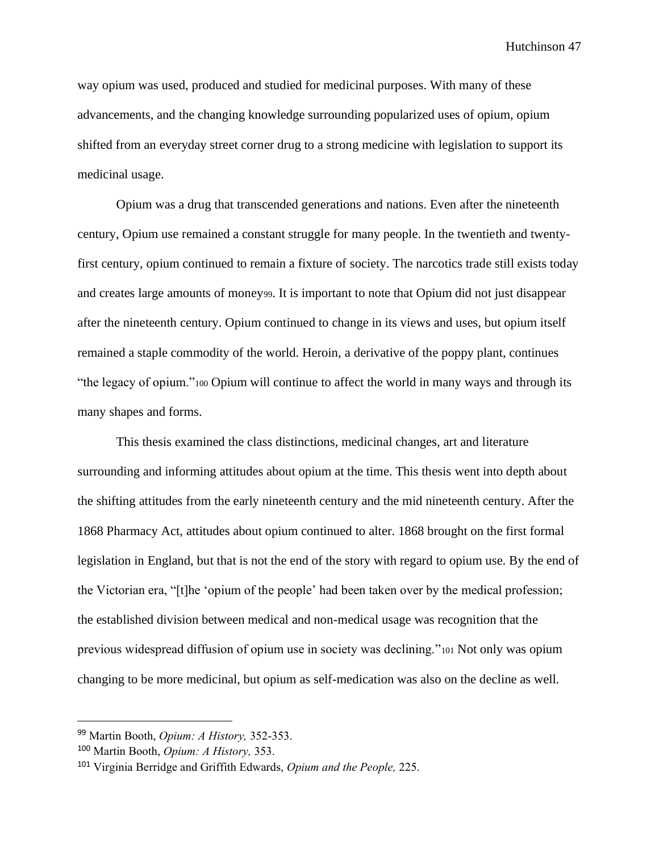way opium was used, produced and studied for medicinal purposes. With many of these advancements, and the changing knowledge surrounding popularized uses of opium, opium shifted from an everyday street corner drug to a strong medicine with legislation to support its medicinal usage.

Opium was a drug that transcended generations and nations. Even after the nineteenth century, Opium use remained a constant struggle for many people. In the twentieth and twentyfirst century, opium continued to remain a fixture of society. The narcotics trade still exists today and creates large amounts of money99. It is important to note that Opium did not just disappear after the nineteenth century. Opium continued to change in its views and uses, but opium itself remained a staple commodity of the world. Heroin, a derivative of the poppy plant, continues "the legacy of opium."<sup>100</sup> Opium will continue to affect the world in many ways and through its many shapes and forms.

This thesis examined the class distinctions, medicinal changes, art and literature surrounding and informing attitudes about opium at the time. This thesis went into depth about the shifting attitudes from the early nineteenth century and the mid nineteenth century. After the 1868 Pharmacy Act, attitudes about opium continued to alter. 1868 brought on the first formal legislation in England, but that is not the end of the story with regard to opium use. By the end of the Victorian era, "[t]he 'opium of the people' had been taken over by the medical profession; the established division between medical and non-medical usage was recognition that the previous widespread diffusion of opium use in society was declining."<sup>101</sup> Not only was opium changing to be more medicinal, but opium as self-medication was also on the decline as well.

<sup>99</sup> Martin Booth, *Opium: A History,* 352-353.

<sup>100</sup> Martin Booth, *Opium: A History,* 353.

<sup>101</sup> Virginia Berridge and Griffith Edwards, *Opium and the People,* 225.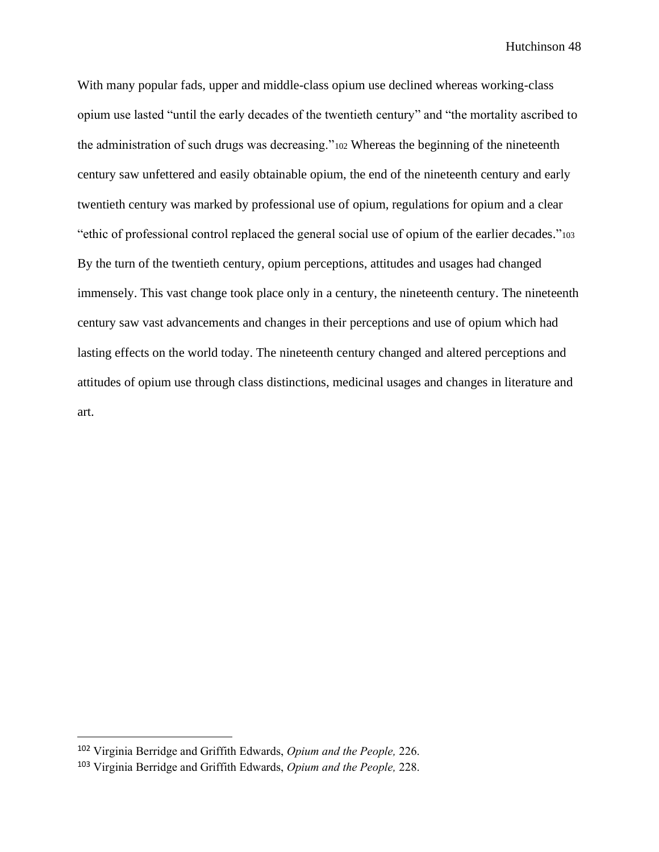With many popular fads, upper and middle-class opium use declined whereas working-class opium use lasted "until the early decades of the twentieth century" and "the mortality ascribed to the administration of such drugs was decreasing."<sup>102</sup> Whereas the beginning of the nineteenth century saw unfettered and easily obtainable opium, the end of the nineteenth century and early twentieth century was marked by professional use of opium, regulations for opium and a clear "ethic of professional control replaced the general social use of opium of the earlier decades."<sup>103</sup> By the turn of the twentieth century, opium perceptions, attitudes and usages had changed immensely. This vast change took place only in a century, the nineteenth century. The nineteenth century saw vast advancements and changes in their perceptions and use of opium which had lasting effects on the world today. The nineteenth century changed and altered perceptions and attitudes of opium use through class distinctions, medicinal usages and changes in literature and art.

<sup>102</sup> Virginia Berridge and Griffith Edwards, *Opium and the People,* 226.

<sup>103</sup> Virginia Berridge and Griffith Edwards, *Opium and the People,* 228.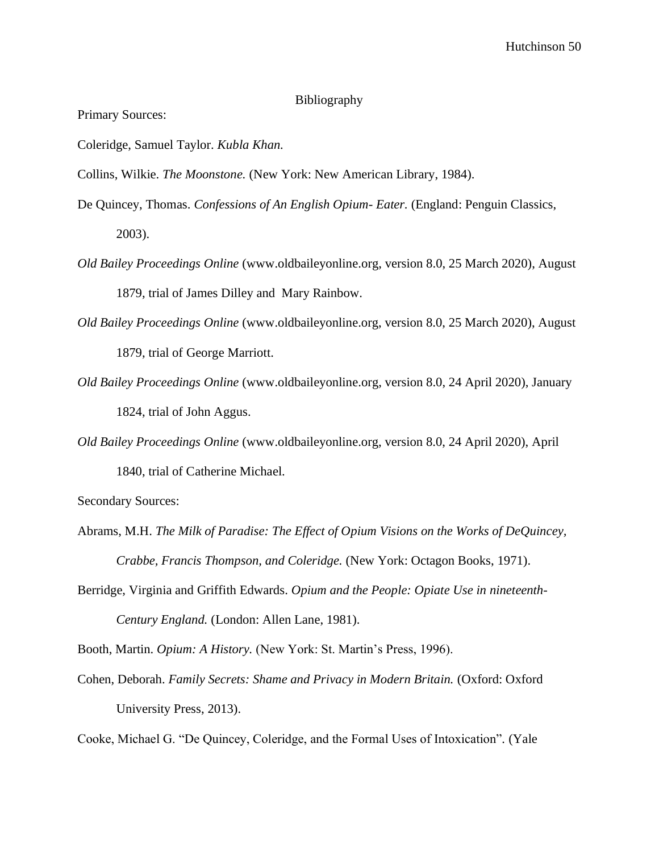## Bibliography

Primary Sources:

Coleridge, Samuel Taylor. *Kubla Khan.*

Collins, Wilkie. *The Moonstone.* (New York: New American Library, 1984).

- De Quincey, Thomas. *Confessions of An English Opium- Eater.* (England: Penguin Classics, 2003).
- *Old Bailey Proceedings Online* (www.oldbaileyonline.org, version 8.0, 25 March 2020), August 1879, trial of James Dilley and Mary Rainbow.
- *Old Bailey Proceedings Online* (www.oldbaileyonline.org, version 8.0, 25 March 2020), August 1879, trial of George Marriott.
- *Old Bailey Proceedings Online* (www.oldbaileyonline.org, version 8.0, 24 April 2020), January 1824, trial of John Aggus.
- *Old Bailey Proceedings Online* (www.oldbaileyonline.org, version 8.0, 24 April 2020), April 1840, trial of Catherine Michael.

Secondary Sources:

- Abrams, M.H. *The Milk of Paradise: The Effect of Opium Visions on the Works of DeQuincey, Crabbe, Francis Thompson, and Coleridge.* (New York: Octagon Books, 1971).
- Berridge, Virginia and Griffith Edwards. *Opium and the People: Opiate Use in nineteenth-Century England.* (London: Allen Lane, 1981).

Booth, Martin. *Opium: A History.* (New York: St. Martin's Press, 1996).

Cohen, Deborah. *Family Secrets: Shame and Privacy in Modern Britain.* (Oxford: Oxford University Press, 2013).

Cooke, Michael G. "De Quincey, Coleridge, and the Formal Uses of Intoxication"*.* (Yale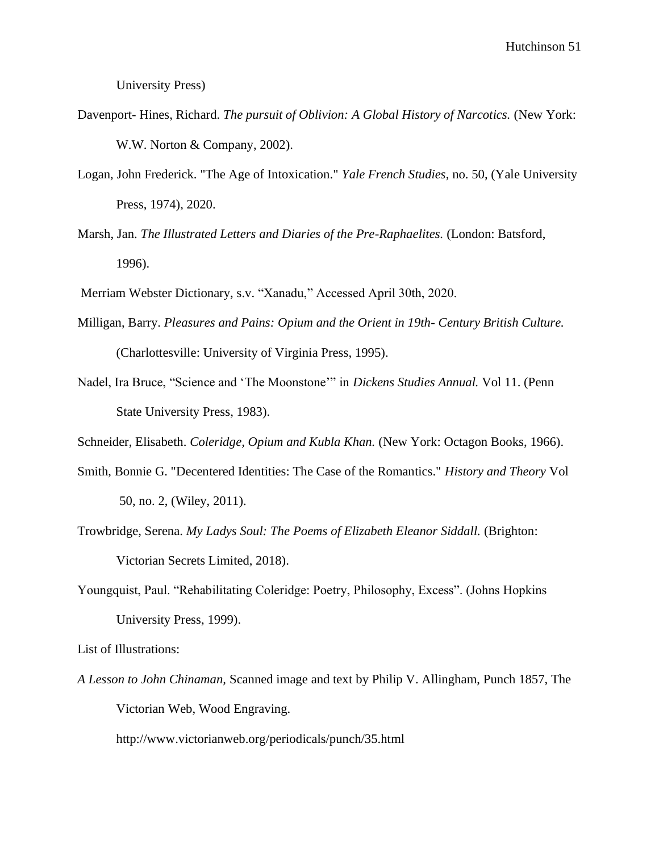University Press)

- Davenport- Hines, Richard. *The pursuit of Oblivion: A Global History of Narcotics*. (New York: W.W. Norton & Company, 2002).
- Logan, John Frederick. "The Age of Intoxication." *Yale French Studies*, no. 50, (Yale University Press, 1974), 2020.
- Marsh, Jan. *The Illustrated Letters and Diaries of the Pre-Raphaelites.* (London: Batsford, 1996).
- Merriam Webster Dictionary, s.v. "Xanadu," Accessed April 30th, 2020.
- Milligan, Barry. *Pleasures and Pains: Opium and the Orient in 19th- Century British Culture.*  (Charlottesville: University of Virginia Press, 1995).
- Nadel, Ira Bruce, "Science and 'The Moonstone'" in *Dickens Studies Annual.* Vol 11. (Penn State University Press, 1983).

Schneider, Elisabeth. *Coleridge, Opium and Kubla Khan.* (New York: Octagon Books, 1966).

- Smith, Bonnie G. "Decentered Identities: The Case of the Romantics." *History and Theory* Vol 50, no. 2, (Wiley, 2011).
- Trowbridge, Serena. *My Ladys Soul: The Poems of Elizabeth Eleanor Siddall.* (Brighton: Victorian Secrets Limited, 2018).
- Youngquist, Paul. "Rehabilitating Coleridge: Poetry, Philosophy, Excess". (Johns Hopkins University Press, 1999).

List of Illustrations:

*A Lesson to John Chinaman,* Scanned image and text by Philip V. Allingham, Punch 1857, The Victorian Web, Wood Engraving.

http://www.victorianweb.org/periodicals/punch/35.html